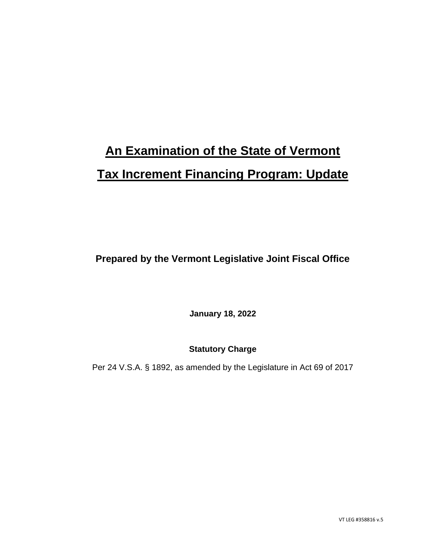# **An Examination of the State of Vermont Tax Increment Financing Program: Update**

**Prepared by the Vermont Legislative Joint Fiscal Office**

**January 18, 2022**

**Statutory Charge**

Per 24 V.S.A. § 1892, as amended by the Legislature in Act 69 of 2017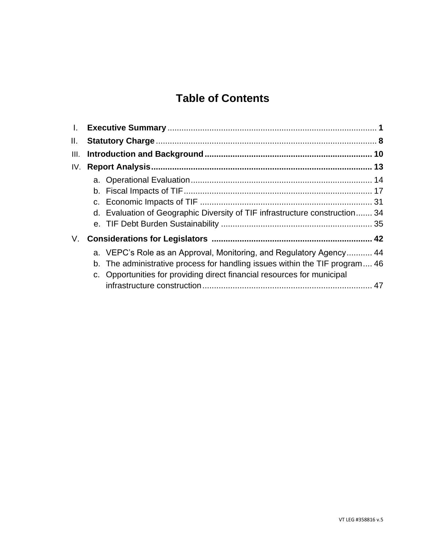# **Table of Contents**

| Ш.                                                                      |                                                                                                                                                                                                                                   |
|-------------------------------------------------------------------------|-----------------------------------------------------------------------------------------------------------------------------------------------------------------------------------------------------------------------------------|
| IV.                                                                     |                                                                                                                                                                                                                                   |
|                                                                         |                                                                                                                                                                                                                                   |
|                                                                         |                                                                                                                                                                                                                                   |
| c. Opportunities for providing direct financial resources for municipal |                                                                                                                                                                                                                                   |
|                                                                         | d. Evaluation of Geographic Diversity of TIF infrastructure construction 34<br>a. VEPC's Role as an Approval, Monitoring, and Regulatory Agency 44<br>b. The administrative process for handling issues within the TIF program 46 |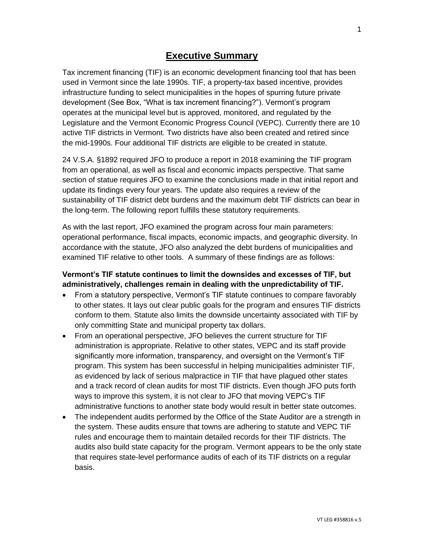# **Executive Summary**

Tax increment financing (TIF) is an economic development financing tool that has been used in Vermont since the late 1990s. TIF, a property-tax based incentive, provides infrastructure funding to select municipalities in the hopes of spurring future private development (See Box, "What is tax increment financing?"). Vermont's program operates at the municipal level but is approved, monitored, and regulated by the Legislature and the Vermont Economic Progress Council (VEPC). Currently there are 10 active TIF districts in Vermont. Two districts have also been created and retired since the mid-1990s. Four additional TIF districts are eligible to be created in statute.

24 V.S.A. §1892 required JFO to produce a report in 2018 examining the TIF program from an operational, as well as fiscal and economic impacts perspective. That same section of statue requires JFO to examine the conclusions made in that initial report and update its findings every four years. The update also requires a review of the sustainability of TIF district debt burdens and the maximum debt TIF districts can bear in the long-term. The following report fulfills these statutory requirements.

As with the last report, JFO examined the program across four main parameters: operational performance, fiscal impacts, economic impacts, and geographic diversity. In accordance with the statute, JFO also analyzed the debt burdens of municipalities and examined TIF relative to other tools. A summary of these findings are as follows:

#### **Vermont's TIF statute continues to limit the downsides and excesses of TIF, but administratively, challenges remain in dealing with the unpredictability of TIF.**

- From a statutory perspective, Vermont's TIF statute continues to compare favorably to other states. It lays out clear public goals for the program and ensures TIF districts conform to them. Statute also limits the downside uncertainty associated with TIF by only committing State and municipal property tax dollars.
- From an operational perspective, JFO believes the current structure for TIF administration is appropriate. Relative to other states, VEPC and its staff provide significantly more information, transparency, and oversight on the Vermont's TIF program. This system has been successful in helping municipalities administer TIF, as evidenced by lack of serious malpractice in TIF that have plagued other states and a track record of clean audits for most TIF districts. Even though JFO puts forth ways to improve this system, it is not clear to JFO that moving VEPC's TIF administrative functions to another state body would result in better state outcomes.
- The independent audits performed by the Office of the State Auditor are a strength in the system. These audits ensure that towns are adhering to statute and VEPC TIF rules and encourage them to maintain detailed records for their TIF districts. The audits also build state capacity for the program. Vermont appears to be the only state that requires state-level performance audits of each of its TIF districts on a regular basis.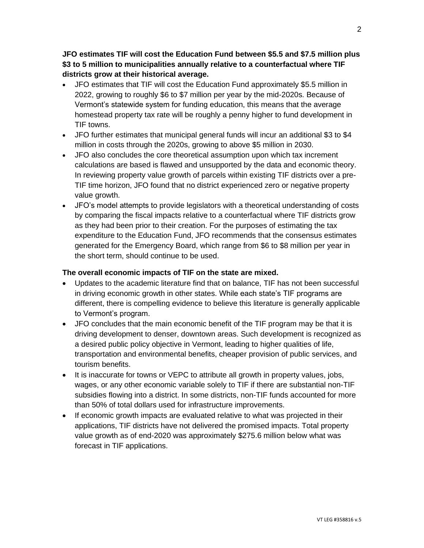**JFO estimates TIF will cost the Education Fund between \$5.5 and \$7.5 million plus \$3 to 5 million to municipalities annually relative to a counterfactual where TIF districts grow at their historical average.** 

- JFO estimates that TIF will cost the Education Fund approximately \$5.5 million in 2022, growing to roughly \$6 to \$7 million per year by the mid-2020s. Because of Vermont's statewide system for funding education, this means that the average homestead property tax rate will be roughly a penny higher to fund development in TIF towns.
- JFO further estimates that municipal general funds will incur an additional \$3 to \$4 million in costs through the 2020s, growing to above \$5 million in 2030.
- JFO also concludes the core theoretical assumption upon which tax increment calculations are based is flawed and unsupported by the data and economic theory. In reviewing property value growth of parcels within existing TIF districts over a pre-TIF time horizon, JFO found that no district experienced zero or negative property value growth.
- JFO's model attempts to provide legislators with a theoretical understanding of costs by comparing the fiscal impacts relative to a counterfactual where TIF districts grow as they had been prior to their creation. For the purposes of estimating the tax expenditure to the Education Fund, JFO recommends that the consensus estimates generated for the Emergency Board, which range from \$6 to \$8 million per year in the short term, should continue to be used.

#### **The overall economic impacts of TIF on the state are mixed.**

- Updates to the academic literature find that on balance, TIF has not been successful in driving economic growth in other states. While each state's TIF programs are different, there is compelling evidence to believe this literature is generally applicable to Vermont's program.
- JFO concludes that the main economic benefit of the TIF program may be that it is driving development to denser, downtown areas. Such development is recognized as a desired public policy objective in Vermont, leading to higher qualities of life, transportation and environmental benefits, cheaper provision of public services, and tourism benefits.
- It is inaccurate for towns or VEPC to attribute all growth in property values, jobs, wages, or any other economic variable solely to TIF if there are substantial non-TIF subsidies flowing into a district. In some districts, non-TIF funds accounted for more than 50% of total dollars used for infrastructure improvements.
- If economic growth impacts are evaluated relative to what was projected in their applications, TIF districts have not delivered the promised impacts. Total property value growth as of end-2020 was approximately \$275.6 million below what was forecast in TIF applications.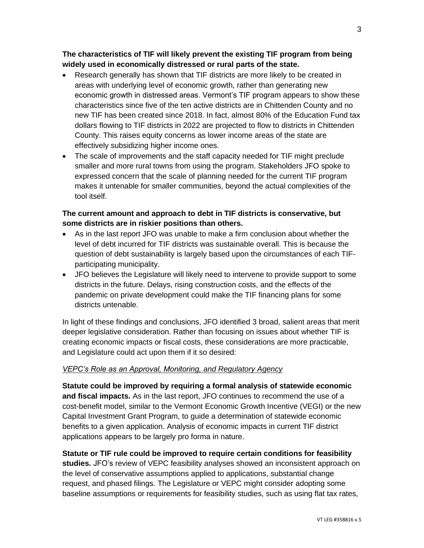#### **The characteristics of TIF will likely prevent the existing TIF program from being widely used in economically distressed or rural parts of the state.**

- Research generally has shown that TIF districts are more likely to be created in areas with underlying level of economic growth, rather than generating new economic growth in distressed areas. Vermont's TIF program appears to show these characteristics since five of the ten active districts are in Chittenden County and no new TIF has been created since 2018. In fact, almost 80% of the Education Fund tax dollars flowing to TIF districts in 2022 are projected to flow to districts in Chittenden County. This raises equity concerns as lower income areas of the state are effectively subsidizing higher income ones.
- The scale of improvements and the staff capacity needed for TIF might preclude smaller and more rural towns from using the program. Stakeholders JFO spoke to expressed concern that the scale of planning needed for the current TIF program makes it untenable for smaller communities, beyond the actual complexities of the tool itself.

#### **The current amount and approach to debt in TIF districts is conservative, but some districts are in riskier positions than others.**

- As in the last report JFO was unable to make a firm conclusion about whether the level of debt incurred for TIF districts was sustainable overall. This is because the question of debt sustainability is largely based upon the circumstances of each TIFparticipating municipality.
- JFO believes the Legislature will likely need to intervene to provide support to some districts in the future. Delays, rising construction costs, and the effects of the pandemic on private development could make the TIF financing plans for some districts untenable.

In light of these findings and conclusions, JFO identified 3 broad, salient areas that merit deeper legislative consideration. Rather than focusing on issues about whether TIF is creating economic impacts or fiscal costs, these considerations are more practicable, and Legislature could act upon them if it so desired:

#### *VEPC's Role as an Approval, Monitoring, and Regulatory Agency*

**Statute could be improved by requiring a formal analysis of statewide economic and fiscal impacts.** As in the last report, JFO continues to recommend the use of a cost-benefit model, similar to the Vermont Economic Growth Incentive (VEGI) or the new Capital Investment Grant Program, to guide a determination of statewide economic benefits to a given application. Analysis of economic impacts in current TIF district applications appears to be largely pro forma in nature.

#### **Statute or TIF rule could be improved to require certain conditions for feasibility studies.** JFO's review of VEPC feasibility analyses showed an inconsistent approach on the level of conservative assumptions applied to applications, substantial change request, and phased filings. The Legislature or VEPC might consider adopting some baseline assumptions or requirements for feasibility studies, such as using flat tax rates,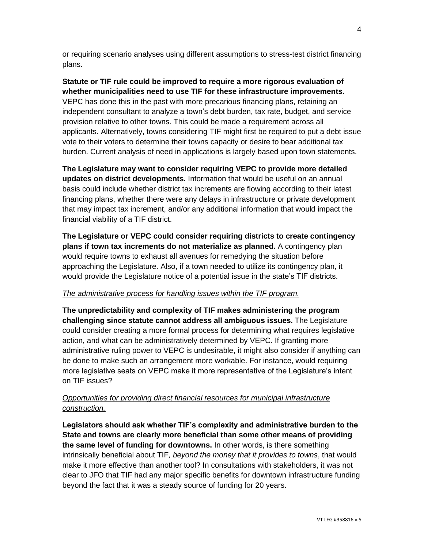or requiring scenario analyses using different assumptions to stress-test district financing plans.

**Statute or TIF rule could be improved to require a more rigorous evaluation of whether municipalities need to use TIF for these infrastructure improvements.**  VEPC has done this in the past with more precarious financing plans, retaining an independent consultant to analyze a town's debt burden, tax rate, budget, and service provision relative to other towns. This could be made a requirement across all applicants. Alternatively, towns considering TIF might first be required to put a debt issue vote to their voters to determine their towns capacity or desire to bear additional tax burden. Current analysis of need in applications is largely based upon town statements.

**The Legislature may want to consider requiring VEPC to provide more detailed updates on district developments.** Information that would be useful on an annual basis could include whether district tax increments are flowing according to their latest financing plans, whether there were any delays in infrastructure or private development that may impact tax increment, and/or any additional information that would impact the financial viability of a TIF district.

**The Legislature or VEPC could consider requiring districts to create contingency plans if town tax increments do not materialize as planned.** A contingency plan would require towns to exhaust all avenues for remedying the situation before approaching the Legislature. Also, if a town needed to utilize its contingency plan, it would provide the Legislature notice of a potential issue in the state's TIF districts.

#### *The administrative process for handling issues within the TIF program.*

**The unpredictability and complexity of TIF makes administering the program challenging since statute cannot address all ambiguous issues.** The Legislature could consider creating a more formal process for determining what requires legislative action, and what can be administratively determined by VEPC. If granting more administrative ruling power to VEPC is undesirable, it might also consider if anything can be done to make such an arrangement more workable. For instance, would requiring more legislative seats on VEPC make it more representative of the Legislature's intent on TIF issues?

#### *Opportunities for providing direct financial resources for municipal infrastructure construction.*

**Legislators should ask whether TIF's complexity and administrative burden to the State and towns are clearly more beneficial than some other means of providing the same level of funding for downtowns.** In other words, is there something intrinsically beneficial about TIF*, beyond the money that it provides to towns*, that would make it more effective than another tool? In consultations with stakeholders, it was not clear to JFO that TIF had any major specific benefits for downtown infrastructure funding beyond the fact that it was a steady source of funding for 20 years.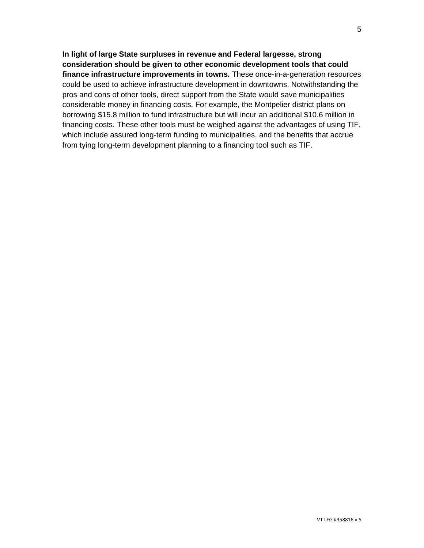**In light of large State surpluses in revenue and Federal largesse, strong consideration should be given to other economic development tools that could finance infrastructure improvements in towns.** These once-in-a-generation resources could be used to achieve infrastructure development in downtowns. Notwithstanding the pros and cons of other tools, direct support from the State would save municipalities considerable money in financing costs. For example, the Montpelier district plans on borrowing \$15.8 million to fund infrastructure but will incur an additional \$10.6 million in financing costs. These other tools must be weighed against the advantages of using TIF, which include assured long-term funding to municipalities, and the benefits that accrue from tying long-term development planning to a financing tool such as TIF.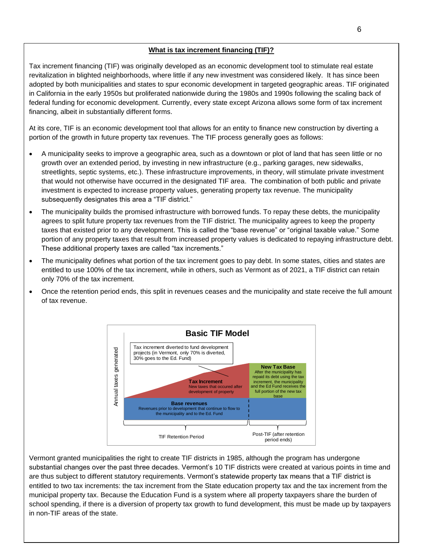#### **What is tax increment financing (TIF)?**

Tax increment financing (TIF) was originally developed as an economic development tool to stimulate real estate revitalization in blighted neighborhoods, where little if any new investment was considered likely. It has since been adopted by both municipalities and states to spur economic development in targeted geographic areas. TIF originated in California in the early 1950s but proliferated nationwide during the 1980s and 1990s following the scaling back of federal funding for economic development. Currently, every state except Arizona allows some form of tax increment financing, albeit in substantially different forms.

At its core, TIF is an economic development tool that allows for an entity to finance new construction by diverting a portion of the growth in future property tax revenues. The TIF process generally goes as follows:

- A municipality seeks to improve a geographic area, such as a downtown or plot of land that has seen little or no growth over an extended period, by investing in new infrastructure (e.g., parking garages, new sidewalks, streetlights, septic systems, etc.). These infrastructure improvements, in theory, will stimulate private investment that would not otherwise have occurred in the designated TIF area. The combination of both public and private investment is expected to increase property values, generating property tax revenue. The municipality subsequently designates this area a "TIF district."
- The municipality builds the promised infrastructure with borrowed funds. To repay these debts, the municipality agrees to split future property tax revenues from the TIF district. The municipality agrees to keep the property taxes that existed prior to any development. This is called the "base revenue" or "original taxable value." Some portion of any property taxes that result from increased property values is dedicated to repaying infrastructure debt. These additional property taxes are called "tax increments."
- The municipality defines what portion of the tax increment goes to pay debt. In some states, cities and states are entitled to use 100% of the tax increment, while in others, such as Vermont as of 2021, a TIF district can retain only 70% of the tax increment.
- Once the retention period ends, this split in revenues ceases and the municipality and state receive the full amount of tax revenue.



Vermont granted municipalities the right to create TIF districts in 1985, although the program has undergone substantial changes over the past three decades. Vermont's 10 TIF districts were created at various points in time and are thus subject to different statutory requirements. Vermont's statewide property tax means that a TIF district is entitled to two tax increments: the tax increment from the State education property tax and the tax increment from the municipal property tax. Because the Education Fund is a system where all property taxpayers share the burden of school spending, if there is a diversion of property tax growth to fund development, this must be made up by taxpayers in non-TIF areas of the state.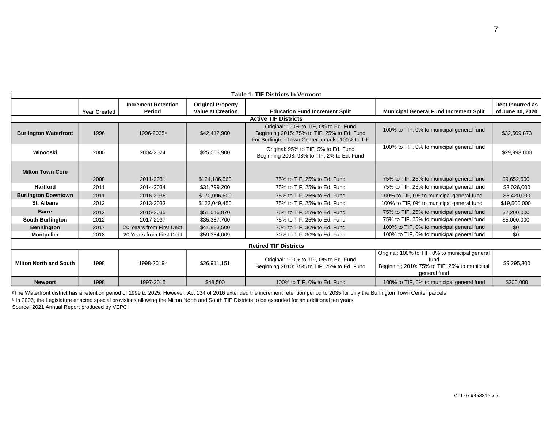| <b>Table 1: TIF Districts In Vermont</b> |                     |                            |                          |                                                                                                                                         |                                                                                                                        |                  |
|------------------------------------------|---------------------|----------------------------|--------------------------|-----------------------------------------------------------------------------------------------------------------------------------------|------------------------------------------------------------------------------------------------------------------------|------------------|
|                                          |                     | <b>Increment Retention</b> | <b>Original Property</b> |                                                                                                                                         |                                                                                                                        | Debt Incurred as |
|                                          | <b>Year Created</b> | Period                     | <b>Value at Creation</b> | <b>Education Fund Increment Split</b>                                                                                                   | <b>Municipal General Fund Increment Split</b>                                                                          | of June 30, 2020 |
|                                          |                     |                            |                          | <b>Active TIF Districts</b>                                                                                                             |                                                                                                                        |                  |
| <b>Burlington Waterfront</b>             | 1996                | 1996-2035 <sup>a</sup>     | \$42,412,900             | Original: 100% to TIF, 0% to Ed. Fund<br>Beginning 2015: 75% to TIF, 25% to Ed. Fund<br>For Burlington Town Center parcels: 100% to TIF | 100% to TIF, 0% to municipal general fund                                                                              | \$32,509,873     |
| Winooski                                 | 2000                | 2004-2024                  | \$25,065,900             | Original: 95% to TIF, 5% to Ed. Fund<br>Beginning 2008: 98% to TIF, 2% to Ed. Fund                                                      | 100% to TIF, 0% to municipal general fund                                                                              | \$29,998,000     |
| <b>Milton Town Core</b>                  | 2008                | 2011-2031                  | \$124,186,560            | 75% to TIF, 25% to Ed. Fund                                                                                                             | 75% to TIF, 25% to municipal general fund                                                                              | \$9,652,600      |
| <b>Hartford</b>                          | 2011                | 2014-2034                  | \$31.799.200             | 75% to TIF, 25% to Ed. Fund                                                                                                             | 75% to TIF, 25% to municipal general fund                                                                              | \$3,026,000      |
| <b>Burlington Downtown</b>               | 2011                | 2016-2036                  | \$170,006,600            | 75% to TIF, 25% to Ed. Fund                                                                                                             | 100% to TIF, 0% to municipal general fund                                                                              | \$5,420,000      |
| St. Albans                               | 2012                | 2013-2033                  | \$123,049,450            | 75% to TIF, 25% to Ed. Fund                                                                                                             | 100% to TIF, 0% to municipal general fund                                                                              | \$19,500,000     |
| <b>Barre</b>                             | 2012                | 2015-2035                  | \$51.046.870             | 75% to TIF, 25% to Ed. Fund                                                                                                             | 75% to TIF, 25% to municipal general fund                                                                              | \$2,200,000      |
| <b>South Burlington</b>                  | 2012                | 2017-2037                  | \$35,387,700             | 75% to TIF, 25% to Ed. Fund                                                                                                             | 75% to TIF, 25% to municipal general fund                                                                              | \$5,000,000      |
| <b>Bennington</b>                        | 2017                | 20 Years from First Debt   | \$41,883,500             | 70% to TIF, 30% to Ed. Fund                                                                                                             | 100% to TIF, 0% to municipal general fund                                                                              | \$0              |
| <b>Montpelier</b>                        | 2018                | 20 Years from First Debt   | \$59,354,009             | 70% to TIF, 30% to Ed. Fund                                                                                                             | 100% to TIF, 0% to municipal general fund                                                                              | \$0              |
| <b>Retired TIF Districts</b>             |                     |                            |                          |                                                                                                                                         |                                                                                                                        |                  |
| <b>Milton North and South</b>            | 1998                | 1998-2019b                 | \$26,911,151             | Original: 100% to TIF, 0% to Ed. Fund<br>Beginning 2010: 75% to TIF, 25% to Ed. Fund                                                    | Original: 100% to TIF, 0% to municipal general<br>fund<br>Beginning 2010: 75% to TIF, 25% to municipal<br>general fund | \$9,295,300      |
| <b>Newport</b>                           | 1998                | 1997-2015                  | \$48,500                 | 100% to TIF, 0% to Ed. Fund                                                                                                             | 100% to TIF, 0% to municipal general fund                                                                              | \$300,000        |

aThe Waterfront district has a retention period of 1999 to 2025. However, Act 134 of 2016 extended the increment retention period to 2035 for only the Burlington Town Center parcels ᵇ In 2006, the Legislature enacted special provisions allowing the Milton North and South TIF Districts to be extended for an additional ten years

Source: 2021 Annual Report produced by VEPC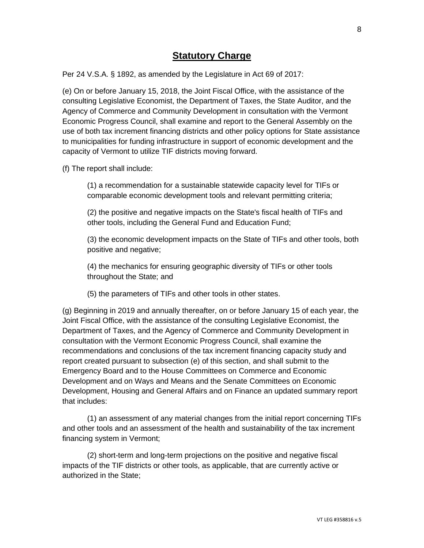# **Statutory Charge**

Per 24 V.S.A. § 1892, as amended by the Legislature in Act 69 of 2017:

(e) On or before January 15, 2018, the Joint Fiscal Office, with the assistance of the consulting Legislative Economist, the Department of Taxes, the State Auditor, and the Agency of Commerce and Community Development in consultation with the Vermont Economic Progress Council, shall examine and report to the General Assembly on the use of both tax increment financing districts and other policy options for State assistance to municipalities for funding infrastructure in support of economic development and the capacity of Vermont to utilize TIF districts moving forward.

(f) The report shall include:

(1) a recommendation for a sustainable statewide capacity level for TIFs or comparable economic development tools and relevant permitting criteria;

(2) the positive and negative impacts on the State's fiscal health of TIFs and other tools, including the General Fund and Education Fund;

(3) the economic development impacts on the State of TIFs and other tools, both positive and negative;

(4) the mechanics for ensuring geographic diversity of TIFs or other tools throughout the State; and

(5) the parameters of TIFs and other tools in other states.

(g) Beginning in 2019 and annually thereafter, on or before January 15 of each year, the Joint Fiscal Office, with the assistance of the consulting Legislative Economist, the Department of Taxes, and the Agency of Commerce and Community Development in consultation with the Vermont Economic Progress Council, shall examine the recommendations and conclusions of the tax increment financing capacity study and report created pursuant to subsection (e) of this section, and shall submit to the Emergency Board and to the House Committees on Commerce and Economic Development and on Ways and Means and the Senate Committees on Economic Development, Housing and General Affairs and on Finance an updated summary report that includes:

(1) an assessment of any material changes from the initial report concerning TIFs and other tools and an assessment of the health and sustainability of the tax increment financing system in Vermont;

(2) short-term and long-term projections on the positive and negative fiscal impacts of the TIF districts or other tools, as applicable, that are currently active or authorized in the State;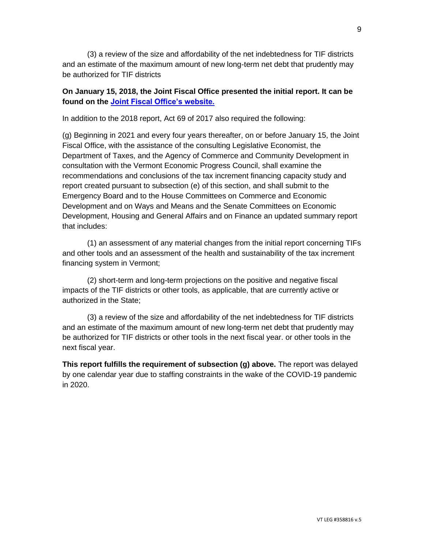(3) a review of the size and affordability of the net indebtedness for TIF districts and an estimate of the maximum amount of new long-term net debt that prudently may be authorized for TIF districts

#### **On January 15, 2018, the Joint Fiscal Office presented the initial report. It can be found on the [Joint Fiscal Office's website.](https://ljfo.vermont.gov/assets/docs/reports/79f1f110da/Final-TIF-Report-January-24-2018.pdf)**

In addition to the 2018 report, Act 69 of 2017 also required the following:

(g) Beginning in 2021 and every four years thereafter, on or before January 15, the Joint Fiscal Office, with the assistance of the consulting Legislative Economist, the Department of Taxes, and the Agency of Commerce and Community Development in consultation with the Vermont Economic Progress Council, shall examine the recommendations and conclusions of the tax increment financing capacity study and report created pursuant to subsection (e) of this section, and shall submit to the Emergency Board and to the House Committees on Commerce and Economic Development and on Ways and Means and the Senate Committees on Economic Development, Housing and General Affairs and on Finance an updated summary report that includes:

(1) an assessment of any material changes from the initial report concerning TIFs and other tools and an assessment of the health and sustainability of the tax increment financing system in Vermont;

(2) short-term and long-term projections on the positive and negative fiscal impacts of the TIF districts or other tools, as applicable, that are currently active or authorized in the State;

(3) a review of the size and affordability of the net indebtedness for TIF districts and an estimate of the maximum amount of new long-term net debt that prudently may be authorized for TIF districts or other tools in the next fiscal year. or other tools in the next fiscal year.

**This report fulfills the requirement of subsection (g) above.** The report was delayed by one calendar year due to staffing constraints in the wake of the COVID-19 pandemic in 2020.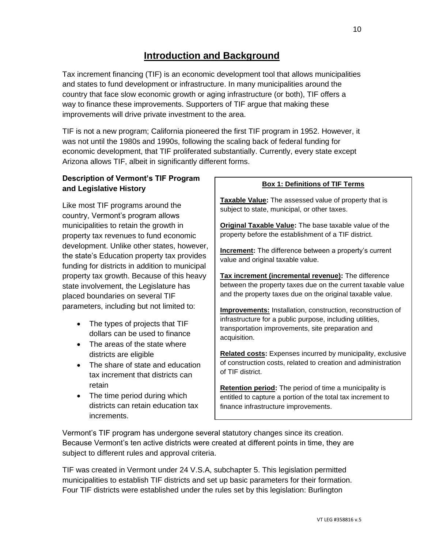Tax increment financing (TIF) is an economic development tool that allows municipalities and states to fund development or infrastructure. In many municipalities around the country that face slow economic growth or aging infrastructure (or both), TIF offers a way to finance these improvements. Supporters of TIF argue that making these improvements will drive private investment to the area.

TIF is not a new program; California pioneered the first TIF program in 1952. However, it was not until the 1980s and 1990s, following the scaling back of federal funding for economic development, that TIF proliferated substantially. Currently, every state except Arizona allows TIF, albeit in significantly different forms.

## **Description of Vermont's TIF Program and Legislative History**

Like most TIF programs around the country, Vermont's program allows municipalities to retain the growth in property tax revenues to fund economic development. Unlike other states, however, the state's Education property tax provides funding for districts in addition to municipal property tax growth. Because of this heavy state involvement, the Legislature has placed boundaries on several TIF parameters, including but not limited to:

- The types of projects that TIF dollars can be used to finance
- The areas of the state where districts are eligible
- The share of state and education tax increment that districts can retain
- The time period during which districts can retain education tax increments.

#### **Box 1: Definitions of TIF Terms**

**Taxable Value:** The assessed value of property that is subject to state, municipal, or other taxes.

**Original Taxable Value:** The base taxable value of the property before the establishment of a TIF district.

**Increment:** The difference between a property's current value and original taxable value.

**Tax increment (incremental revenue):** The difference between the property taxes due on the current taxable value and the property taxes due on the original taxable value.

**Improvements:** Installation, construction, reconstruction of infrastructure for a public purpose, including utilities, transportation improvements, site preparation and acquisition.

**Related costs:** Expenses incurred by municipality, exclusive of construction costs, related to creation and administration of TIF district.

**Retention period:** The period of time a municipality is entitled to capture a portion of the total tax increment to finance infrastructure improvements.

Vermont's TIF program has undergone several statutory changes since its creation. Because Vermont's ten active districts were created at different points in time, they are subject to different rules and approval criteria.

TIF was created in Vermont under 24 V.S.A, subchapter 5. This legislation permitted municipalities to establish TIF districts and set up basic parameters for their formation. Four TIF districts were established under the rules set by this legislation: Burlington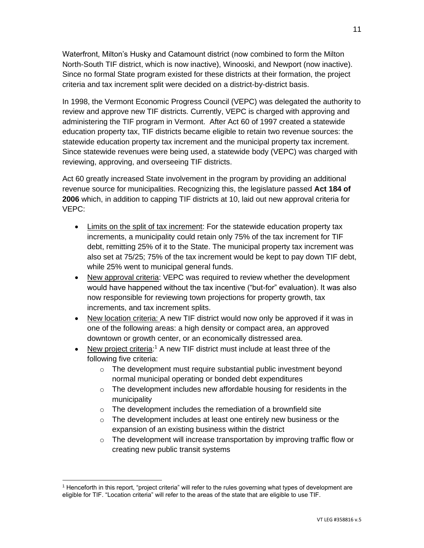Waterfront, Milton's Husky and Catamount district (now combined to form the Milton North-South TIF district, which is now inactive), Winooski, and Newport (now inactive). Since no formal State program existed for these districts at their formation, the project criteria and tax increment split were decided on a district-by-district basis.

In 1998, the Vermont Economic Progress Council (VEPC) was delegated the authority to review and approve new TIF districts. Currently, VEPC is charged with approving and administering the TIF program in Vermont. After Act 60 of 1997 created a statewide education property tax, TIF districts became eligible to retain two revenue sources: the statewide education property tax increment and the municipal property tax increment. Since statewide revenues were being used, a statewide body (VEPC) was charged with reviewing, approving, and overseeing TIF districts.

Act 60 greatly increased State involvement in the program by providing an additional revenue source for municipalities. Recognizing this, the legislature passed **Act 184 of 2006** which, in addition to capping TIF districts at 10, laid out new approval criteria for VEPC:

- Limits on the split of tax increment: For the statewide education property tax increments, a municipality could retain only 75% of the tax increment for TIF debt, remitting 25% of it to the State. The municipal property tax increment was also set at 75/25; 75% of the tax increment would be kept to pay down TIF debt, while 25% went to municipal general funds.
- New approval criteria: VEPC was required to review whether the development would have happened without the tax incentive ("but-for" evaluation). It was also now responsible for reviewing town projections for property growth, tax increments, and tax increment splits.
- New location criteria: A new TIF district would now only be approved if it was in one of the following areas: a high density or compact area, an approved downtown or growth center, or an economically distressed area.
- New project criteria:<sup>1</sup> A new TIF district must include at least three of the following five criteria:
	- o The development must require substantial public investment beyond normal municipal operating or bonded debt expenditures
	- o The development includes new affordable housing for residents in the municipality
	- $\circ$  The development includes the remediation of a brownfield site
	- $\circ$  The development includes at least one entirely new business or the expansion of an existing business within the district
	- o The development will increase transportation by improving traffic flow or creating new public transit systems

<sup>1</sup> Henceforth in this report, "project criteria" will refer to the rules governing what types of development are eligible for TIF. "Location criteria" will refer to the areas of the state that are eligible to use TIF.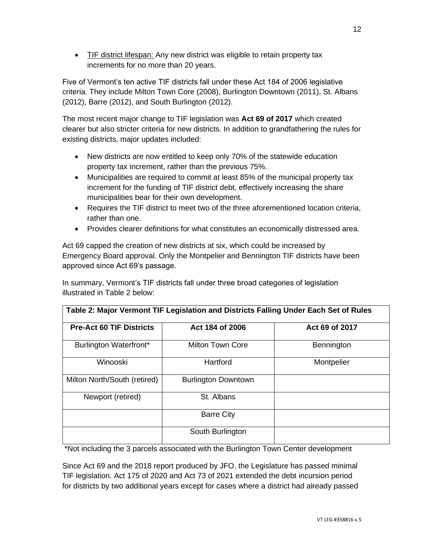• TIF district lifespan: Any new district was eligible to retain property tax increments for no more than 20 years.

Five of Vermont's ten active TIF districts fall under these Act 184 of 2006 legislative criteria. They include Milton Town Core (2008), Burlington Downtown (2011), St. Albans (2012), Barre (2012), and South Burlington (2012).

The most recent major change to TIF legislation was **Act 69 of 2017** which created clearer but also stricter criteria for new districts. In addition to grandfathering the rules for existing districts, major updates included:

- New districts are now entitled to keep only 70% of the statewide education property tax increment, rather than the previous 75%.
- Municipalities are required to commit at least 85% of the municipal property tax increment for the funding of TIF district debt, effectively increasing the share municipalities bear for their own development.
- Requires the TIF district to meet two of the three aforementioned location criteria, rather than one.
- Provides clearer definitions for what constitutes an economically distressed area.

Act 69 capped the creation of new districts at six, which could be increased by Emergency Board approval. Only the Montpelier and Bennington TIF districts have been approved since Act 69's passage.

In summary, Vermont's TIF districts fall under three broad categories of legislation illustrated in Table 2 below:

| Table 2: Major Vermont TIF Legislation and Districts Falling Under Each Set of Rules |                            |                |  |  |  |
|--------------------------------------------------------------------------------------|----------------------------|----------------|--|--|--|
| <b>Pre-Act 60 TIF Districts</b>                                                      | Act 184 of 2006            | Act 69 of 2017 |  |  |  |
| Burlington Waterfront*                                                               | <b>Milton Town Core</b>    | Bennington     |  |  |  |
| Winooski                                                                             | Hartford                   | Montpelier     |  |  |  |
| Milton North/South (retired)                                                         | <b>Burlington Downtown</b> |                |  |  |  |
| Newport (retired)                                                                    | St. Albans                 |                |  |  |  |
|                                                                                      | <b>Barre City</b>          |                |  |  |  |
|                                                                                      | South Burlington           |                |  |  |  |

\*Not including the 3 parcels associated with the Burlington Town Center development

Since Act 69 and the 2018 report produced by JFO, the Legislature has passed minimal TIF legislation. Act 175 of 2020 and Act 73 of 2021 extended the debt incursion period for districts by two additional years except for cases where a district had already passed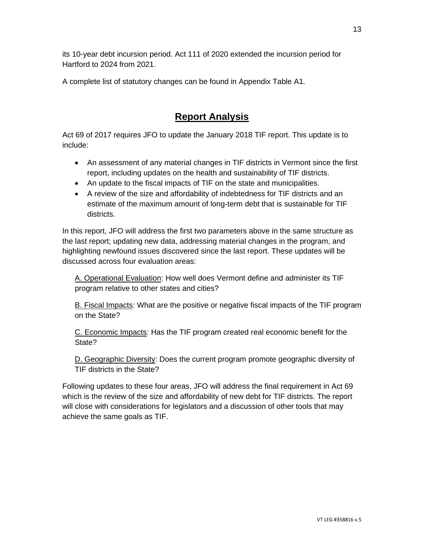its 10-year debt incursion period. Act 111 of 2020 extended the incursion period for Hartford to 2024 from 2021.

A complete list of statutory changes can be found in Appendix Table A1.

# **Report Analysis**

Act 69 of 2017 requires JFO to update the January 2018 TIF report. This update is to include:

- An assessment of any material changes in TIF districts in Vermont since the first report, including updates on the health and sustainability of TIF districts.
- An update to the fiscal impacts of TIF on the state and municipalities.
- A review of the size and affordability of indebtedness for TIF districts and an estimate of the maximum amount of long-term debt that is sustainable for TIF districts.

In this report, JFO will address the first two parameters above in the same structure as the last report; updating new data, addressing material changes in the program, and highlighting newfound issues discovered since the last report. These updates will be discussed across four evaluation areas:

A. Operational Evaluation: How well does Vermont define and administer its TIF program relative to other states and cities?

B. Fiscal Impacts: What are the positive or negative fiscal impacts of the TIF program on the State?

C. Economic Impacts: Has the TIF program created real economic benefit for the State?

D. Geographic Diversity: Does the current program promote geographic diversity of TIF districts in the State?

Following updates to these four areas, JFO will address the final requirement in Act 69 which is the review of the size and affordability of new debt for TIF districts. The report will close with considerations for legislators and a discussion of other tools that may achieve the same goals as TIF.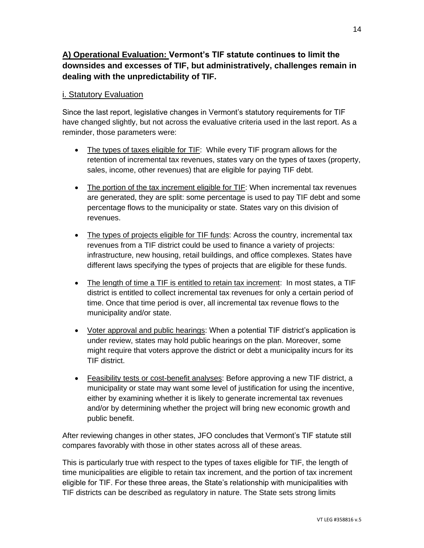# **A) Operational Evaluation: Vermont's TIF statute continues to limit the downsides and excesses of TIF, but administratively, challenges remain in dealing with the unpredictability of TIF.**

#### i. Statutory Evaluation

Since the last report, legislative changes in Vermont's statutory requirements for TIF have changed slightly, but not across the evaluative criteria used in the last report. As a reminder, those parameters were:

- The types of taxes eligible for TIF: While every TIF program allows for the retention of incremental tax revenues, states vary on the types of taxes (property, sales, income, other revenues) that are eligible for paying TIF debt.
- The portion of the tax increment eligible for TIF: When incremental tax revenues are generated, they are split: some percentage is used to pay TIF debt and some percentage flows to the municipality or state. States vary on this division of revenues.
- The types of projects eligible for TIF funds: Across the country, incremental tax revenues from a TIF district could be used to finance a variety of projects: infrastructure, new housing, retail buildings, and office complexes. States have different laws specifying the types of projects that are eligible for these funds.
- The length of time a TIF is entitled to retain tax increment: In most states, a TIF district is entitled to collect incremental tax revenues for only a certain period of time. Once that time period is over, all incremental tax revenue flows to the municipality and/or state.
- Voter approval and public hearings: When a potential TIF district's application is under review, states may hold public hearings on the plan. Moreover, some might require that voters approve the district or debt a municipality incurs for its TIF district.
- Feasibility tests or cost-benefit analyses: Before approving a new TIF district, a municipality or state may want some level of justification for using the incentive, either by examining whether it is likely to generate incremental tax revenues and/or by determining whether the project will bring new economic growth and public benefit.

After reviewing changes in other states, JFO concludes that Vermont's TIF statute still compares favorably with those in other states across all of these areas.

This is particularly true with respect to the types of taxes eligible for TIF, the length of time municipalities are eligible to retain tax increment, and the portion of tax increment eligible for TIF. For these three areas, the State's relationship with municipalities with TIF districts can be described as regulatory in nature. The State sets strong limits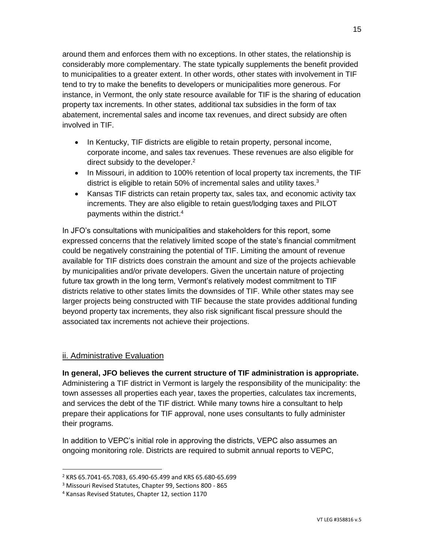around them and enforces them with no exceptions. In other states, the relationship is considerably more complementary. The state typically supplements the benefit provided to municipalities to a greater extent. In other words, other states with involvement in TIF tend to try to make the benefits to developers or municipalities more generous. For instance, in Vermont, the only state resource available for TIF is the sharing of education property tax increments. In other states, additional tax subsidies in the form of tax abatement, incremental sales and income tax revenues, and direct subsidy are often involved in TIF.

- In Kentucky, TIF districts are eligible to retain property, personal income, corporate income, and sales tax revenues. These revenues are also eligible for direct subsidy to the developer.<sup>2</sup>
- In Missouri, in addition to 100% retention of local property tax increments, the TIF district is eligible to retain 50% of incremental sales and utility taxes.<sup>3</sup>
- Kansas TIF districts can retain property tax, sales tax, and economic activity tax increments. They are also eligible to retain guest/lodging taxes and PILOT payments within the district.<sup>4</sup>

In JFO's consultations with municipalities and stakeholders for this report, some expressed concerns that the relatively limited scope of the state's financial commitment could be negatively constraining the potential of TIF. Limiting the amount of revenue available for TIF districts does constrain the amount and size of the projects achievable by municipalities and/or private developers. Given the uncertain nature of projecting future tax growth in the long term, Vermont's relatively modest commitment to TIF districts relative to other states limits the downsides of TIF. While other states may see larger projects being constructed with TIF because the state provides additional funding beyond property tax increments, they also risk significant fiscal pressure should the associated tax increments not achieve their projections.

#### ii. Administrative Evaluation

**In general, JFO believes the current structure of TIF administration is appropriate.**  Administering a TIF district in Vermont is largely the responsibility of the municipality: the town assesses all properties each year, taxes the properties, calculates tax increments, and services the debt of the TIF district. While many towns hire a consultant to help prepare their applications for TIF approval, none uses consultants to fully administer their programs.

In addition to VEPC's initial role in approving the districts, VEPC also assumes an ongoing monitoring role. Districts are required to submit annual reports to VEPC,

<sup>2</sup> KRS 65.7041-65.7083, 65.490-65.499 and KRS 65.680-65.699

<sup>&</sup>lt;sup>3</sup> Missouri Revised Statutes, Chapter 99, Sections 800 - 865

<sup>4</sup> Kansas Revised Statutes, Chapter 12, section 1170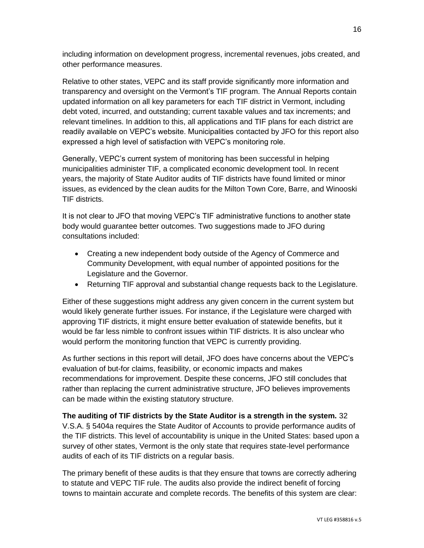including information on development progress, incremental revenues, jobs created, and other performance measures.

Relative to other states, VEPC and its staff provide significantly more information and transparency and oversight on the Vermont's TIF program. The Annual Reports contain updated information on all key parameters for each TIF district in Vermont, including debt voted, incurred, and outstanding; current taxable values and tax increments; and relevant timelines. In addition to this, all applications and TIF plans for each district are readily available on VEPC's website. Municipalities contacted by JFO for this report also expressed a high level of satisfaction with VEPC's monitoring role.

Generally, VEPC's current system of monitoring has been successful in helping municipalities administer TIF, a complicated economic development tool. In recent years, the majority of State Auditor audits of TIF districts have found limited or minor issues, as evidenced by the clean audits for the Milton Town Core, Barre, and Winooski TIF districts.

It is not clear to JFO that moving VEPC's TIF administrative functions to another state body would guarantee better outcomes. Two suggestions made to JFO during consultations included:

- Creating a new independent body outside of the Agency of Commerce and Community Development, with equal number of appointed positions for the Legislature and the Governor.
- Returning TIF approval and substantial change requests back to the Legislature.

Either of these suggestions might address any given concern in the current system but would likely generate further issues. For instance, if the Legislature were charged with approving TIF districts, it might ensure better evaluation of statewide benefits, but it would be far less nimble to confront issues within TIF districts. It is also unclear who would perform the monitoring function that VEPC is currently providing.

As further sections in this report will detail, JFO does have concerns about the VEPC's evaluation of but-for claims, feasibility, or economic impacts and makes recommendations for improvement. Despite these concerns, JFO still concludes that rather than replacing the current administrative structure, JFO believes improvements can be made within the existing statutory structure.

**The auditing of TIF districts by the State Auditor is a strength in the system.** 32 V.S.A. § 5404a requires the State Auditor of Accounts to provide performance audits of the TIF districts. This level of accountability is unique in the United States: based upon a survey of other states, Vermont is the only state that requires state-level performance audits of each of its TIF districts on a regular basis.

The primary benefit of these audits is that they ensure that towns are correctly adhering to statute and VEPC TIF rule. The audits also provide the indirect benefit of forcing towns to maintain accurate and complete records. The benefits of this system are clear: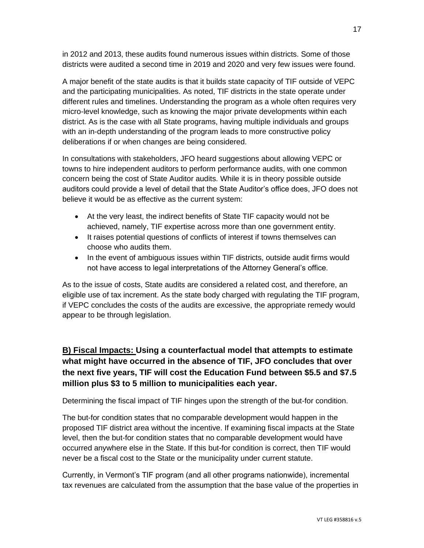in 2012 and 2013, these audits found numerous issues within districts. Some of those districts were audited a second time in 2019 and 2020 and very few issues were found.

A major benefit of the state audits is that it builds state capacity of TIF outside of VEPC and the participating municipalities. As noted, TIF districts in the state operate under different rules and timelines. Understanding the program as a whole often requires very micro-level knowledge, such as knowing the major private developments within each district. As is the case with all State programs, having multiple individuals and groups with an in-depth understanding of the program leads to more constructive policy deliberations if or when changes are being considered.

In consultations with stakeholders, JFO heard suggestions about allowing VEPC or towns to hire independent auditors to perform performance audits, with one common concern being the cost of State Auditor audits. While it is in theory possible outside auditors could provide a level of detail that the State Auditor's office does, JFO does not believe it would be as effective as the current system:

- At the very least, the indirect benefits of State TIF capacity would not be achieved, namely, TIF expertise across more than one government entity.
- It raises potential questions of conflicts of interest if towns themselves can choose who audits them.
- In the event of ambiguous issues within TIF districts, outside audit firms would not have access to legal interpretations of the Attorney General's office.

As to the issue of costs, State audits are considered a related cost, and therefore, an eligible use of tax increment. As the state body charged with regulating the TIF program, if VEPC concludes the costs of the audits are excessive, the appropriate remedy would appear to be through legislation.

**B) Fiscal Impacts: Using a counterfactual model that attempts to estimate what might have occurred in the absence of TIF, JFO concludes that over the next five years, TIF will cost the Education Fund between \$5.5 and \$7.5 million plus \$3 to 5 million to municipalities each year.**

Determining the fiscal impact of TIF hinges upon the strength of the but-for condition.

The but-for condition states that no comparable development would happen in the proposed TIF district area without the incentive. If examining fiscal impacts at the State level, then the but-for condition states that no comparable development would have occurred anywhere else in the State. If this but-for condition is correct, then TIF would never be a fiscal cost to the State or the municipality under current statute.

Currently, in Vermont's TIF program (and all other programs nationwide), incremental tax revenues are calculated from the assumption that the base value of the properties in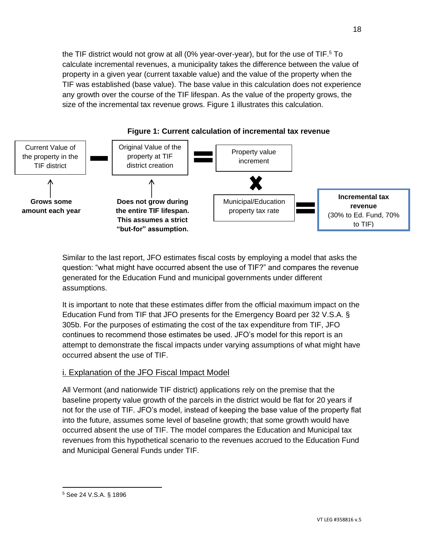the TIF district would not grow at all (0% year-over-year), but for the use of TIF.<sup>5</sup> To calculate incremental revenues, a municipality takes the difference between the value of property in a given year (current taxable value) and the value of the property when the TIF was established (base value). The base value in this calculation does not experience any growth over the course of the TIF lifespan. As the value of the property grows, the size of the incremental tax revenue grows. Figure 1 illustrates this calculation.



**Figure 1: Current calculation of incremental tax revenue**

Similar to the last report, JFO estimates fiscal costs by employing a model that asks the question: "what might have occurred absent the use of TIF?" and compares the revenue generated for the Education Fund and municipal governments under different assumptions.

It is important to note that these estimates differ from the official maximum impact on the Education Fund from TIF that JFO presents for the Emergency Board per 32 V.S.A. § 305b. For the purposes of estimating the cost of the tax expenditure from TIF, JFO continues to recommend those estimates be used. JFO's model for this report is an attempt to demonstrate the fiscal impacts under varying assumptions of what might have occurred absent the use of TIF.

#### i. Explanation of the JFO Fiscal Impact Model

All Vermont (and nationwide TIF district) applications rely on the premise that the baseline property value growth of the parcels in the district would be flat for 20 years if not for the use of TIF. JFO's model, instead of keeping the base value of the property flat into the future, assumes some level of baseline growth; that some growth would have occurred absent the use of TIF. The model compares the Education and Municipal tax revenues from this hypothetical scenario to the revenues accrued to the Education Fund and Municipal General Funds under TIF.

<sup>5</sup> See 24 V.S.A. § 1896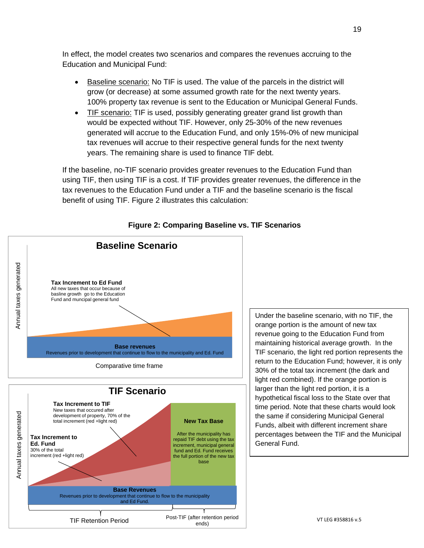In effect, the model creates two scenarios and compares the revenues accruing to the Education and Municipal Fund:

- Baseline scenario: No TIF is used. The value of the parcels in the district will grow (or decrease) at some assumed growth rate for the next twenty years. 100% property tax revenue is sent to the Education or Municipal General Funds.
- TIF scenario: TIF is used, possibly generating greater grand list growth than would be expected without TIF. However, only 25-30% of the new revenues generated will accrue to the Education Fund, and only 15%-0% of new municipal tax revenues will accrue to their respective general funds for the next twenty years. The remaining share is used to finance TIF debt.

If the baseline, no-TIF scenario provides greater revenues to the Education Fund than using TIF, then using TIF is a cost. If TIF provides greater revenues, the difference in the tax revenues to the Education Fund under a TIF and the baseline scenario is the fiscal benefit of using TIF. Figure 2 illustrates this calculation:



**Figure 2: Comparing Baseline vs. TIF Scenarios**

Under the baseline scenario, with no TIF, the orange portion is the amount of new tax revenue going to the Education Fund from maintaining historical average growth. In the TIF scenario, the light red portion represents the return to the Education Fund; however, it is only 30% of the total tax increment (the dark and light red combined). If the orange portion is larger than the light red portion, it is a hypothetical fiscal loss to the State over that time period. Note that these charts would look the same if considering Municipal General Funds, albeit with different increment share percentages between the TIF and the Municipal General Fund.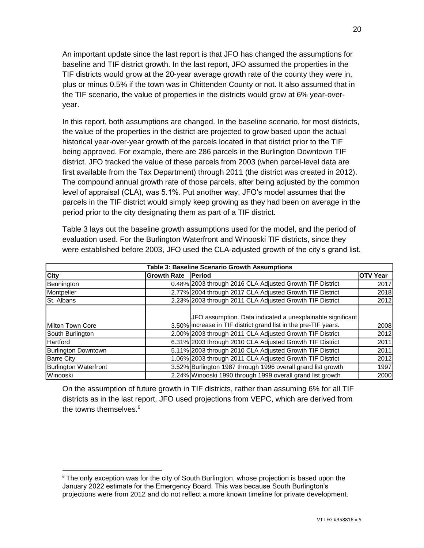An important update since the last report is that JFO has changed the assumptions for baseline and TIF district growth. In the last report, JFO assumed the properties in the TIF districts would grow at the 20-year average growth rate of the county they were in, plus or minus 0.5% if the town was in Chittenden County or not. It also assumed that in the TIF scenario, the value of properties in the districts would grow at 6% year-overyear.

In this report, both assumptions are changed. In the baseline scenario, for most districts, the value of the properties in the district are projected to grow based upon the actual historical year-over-year growth of the parcels located in that district prior to the TIF being approved. For example, there are 286 parcels in the Burlington Downtown TIF district. JFO tracked the value of these parcels from 2003 (when parcel-level data are first available from the Tax Department) through 2011 (the district was created in 2012). The compound annual growth rate of those parcels, after being adjusted by the common level of appraisal (CLA), was 5.1%. Put another way, JFO's model assumes that the parcels in the TIF district would simply keep growing as they had been on average in the period prior to the city designating them as part of a TIF district.

Table 3 lays out the baseline growth assumptions used for the model, and the period of evaluation used. For the Burlington Waterfront and Winooski TIF districts, since they were established before 2003, JFO used the CLA-adjusted growth of the city's grand list.

| Table 3: Baseline Scenario Growth Assumptions |                    |                                                                 |                 |  |  |
|-----------------------------------------------|--------------------|-----------------------------------------------------------------|-----------------|--|--|
| <b>City</b>                                   | <b>Growth Rate</b> | <b>Period</b>                                                   | <b>OTV Year</b> |  |  |
| Bennington                                    |                    | 0.48% 2003 through 2016 CLA Adjusted Growth TIF District        | 2017            |  |  |
| Montpelier                                    |                    | 2.77% 2004 through 2017 CLA Adjusted Growth TIF District        | 2018            |  |  |
| <b>St. Albans</b>                             |                    | 2.23% 2003 through 2011 CLA Adjusted Growth TIF District        | 2012            |  |  |
|                                               |                    |                                                                 |                 |  |  |
|                                               |                    | JFO assumption. Data indicated a unexplainable significant      |                 |  |  |
| Milton Town Core                              |                    | 3.50% increase in TIF district grand list in the pre-TIF years. | <b>2008</b>     |  |  |
| South Burlington                              |                    | 2.00% 2003 through 2011 CLA Adjusted Growth TIF District        | <b>2012</b>     |  |  |
| Hartford                                      |                    | 6.31% 2003 through 2010 CLA Adjusted Growth TIF District        | 2011            |  |  |
| Burlington Downtown                           |                    | 5.11% 2003 through 2010 CLA Adjusted Growth TIF District        | 2011            |  |  |
| <b>Barre City</b>                             |                    | 1.06% 2003 through 2011 CLA Adjusted Growth TIF District        | 2012            |  |  |
| Burlington Waterfront                         |                    | 3.52% Burlington 1987 through 1996 overall grand list growth    | 1997            |  |  |
| Winooski                                      |                    | 2.24% Winooski 1990 through 1999 overall grand list growth      | 2000            |  |  |

On the assumption of future growth in TIF districts, rather than assuming 6% for all TIF districts as in the last report, JFO used projections from VEPC, which are derived from the towns themselves.<sup>6</sup>

 $6$  The only exception was for the city of South Burlington, whose projection is based upon the January 2022 estimate for the Emergency Board. This was because South Burlington's projections were from 2012 and do not reflect a more known timeline for private development.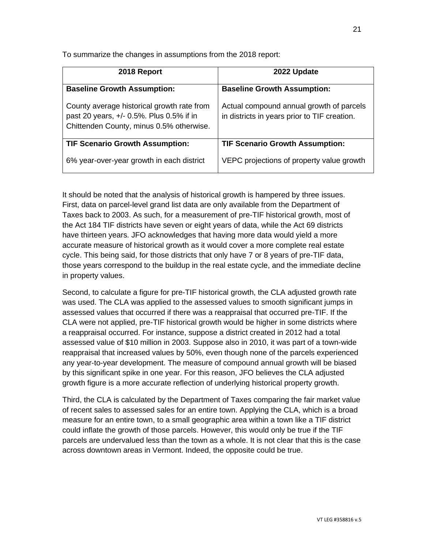To summarize the changes in assumptions from the 2018 report:

| 2018 Report                                                                                                                        | 2022 Update                                                                              |
|------------------------------------------------------------------------------------------------------------------------------------|------------------------------------------------------------------------------------------|
| <b>Baseline Growth Assumption:</b>                                                                                                 | <b>Baseline Growth Assumption:</b>                                                       |
| County average historical growth rate from<br>past 20 years, +/- 0.5%. Plus 0.5% if in<br>Chittenden County, minus 0.5% otherwise. | Actual compound annual growth of parcels<br>in districts in years prior to TIF creation. |
| <b>TIF Scenario Growth Assumption:</b>                                                                                             | <b>TIF Scenario Growth Assumption:</b>                                                   |
| 6% year-over-year growth in each district                                                                                          | VEPC projections of property value growth                                                |

It should be noted that the analysis of historical growth is hampered by three issues. First, data on parcel-level grand list data are only available from the Department of Taxes back to 2003. As such, for a measurement of pre-TIF historical growth, most of the Act 184 TIF districts have seven or eight years of data, while the Act 69 districts have thirteen years. JFO acknowledges that having more data would yield a more accurate measure of historical growth as it would cover a more complete real estate cycle. This being said, for those districts that only have 7 or 8 years of pre-TIF data, those years correspond to the buildup in the real estate cycle, and the immediate decline in property values.

Second, to calculate a figure for pre-TIF historical growth, the CLA adjusted growth rate was used. The CLA was applied to the assessed values to smooth significant jumps in assessed values that occurred if there was a reappraisal that occurred pre-TIF. If the CLA were not applied, pre-TIF historical growth would be higher in some districts where a reappraisal occurred. For instance, suppose a district created in 2012 had a total assessed value of \$10 million in 2003. Suppose also in 2010, it was part of a town-wide reappraisal that increased values by 50%, even though none of the parcels experienced any year-to-year development. The measure of compound annual growth will be biased by this significant spike in one year. For this reason, JFO believes the CLA adjusted growth figure is a more accurate reflection of underlying historical property growth.

Third, the CLA is calculated by the Department of Taxes comparing the fair market value of recent sales to assessed sales for an entire town. Applying the CLA, which is a broad measure for an entire town, to a small geographic area within a town like a TIF district could inflate the growth of those parcels. However, this would only be true if the TIF parcels are undervalued less than the town as a whole. It is not clear that this is the case across downtown areas in Vermont. Indeed, the opposite could be true.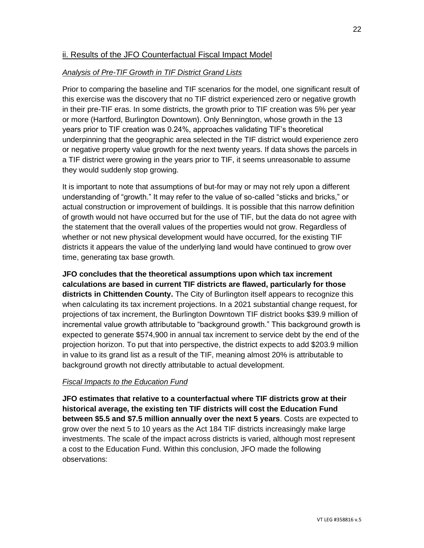#### ii. Results of the JFO Counterfactual Fiscal Impact Model

#### *Analysis of Pre-TIF Growth in TIF District Grand Lists*

Prior to comparing the baseline and TIF scenarios for the model, one significant result of this exercise was the discovery that no TIF district experienced zero or negative growth in their pre-TIF eras. In some districts, the growth prior to TIF creation was 5% per year or more (Hartford, Burlington Downtown). Only Bennington, whose growth in the 13 years prior to TIF creation was 0.24%, approaches validating TIF's theoretical underpinning that the geographic area selected in the TIF district would experience zero or negative property value growth for the next twenty years. If data shows the parcels in a TIF district were growing in the years prior to TIF, it seems unreasonable to assume they would suddenly stop growing.

It is important to note that assumptions of but-for may or may not rely upon a different understanding of "growth." It may refer to the value of so-called "sticks and bricks," or actual construction or improvement of buildings. It is possible that this narrow definition of growth would not have occurred but for the use of TIF, but the data do not agree with the statement that the overall values of the properties would not grow. Regardless of whether or not new physical development would have occurred, for the existing TIF districts it appears the value of the underlying land would have continued to grow over time, generating tax base growth.

**JFO concludes that the theoretical assumptions upon which tax increment calculations are based in current TIF districts are flawed, particularly for those districts in Chittenden County.** The City of Burlington itself appears to recognize this when calculating its tax increment projections. In a 2021 substantial change request, for projections of tax increment, the Burlington Downtown TIF district books \$39.9 million of incremental value growth attributable to "background growth." This background growth is expected to generate \$574,900 in annual tax increment to service debt by the end of the projection horizon. To put that into perspective, the district expects to add \$203.9 million in value to its grand list as a result of the TIF, meaning almost 20% is attributable to background growth not directly attributable to actual development.

#### *Fiscal Impacts to the Education Fund*

**JFO estimates that relative to a counterfactual where TIF districts grow at their historical average, the existing ten TIF districts will cost the Education Fund between \$5.5 and \$7.5 million annually over the next 5 years**. Costs are expected to grow over the next 5 to 10 years as the Act 184 TIF districts increasingly make large investments. The scale of the impact across districts is varied, although most represent a cost to the Education Fund. Within this conclusion, JFO made the following observations: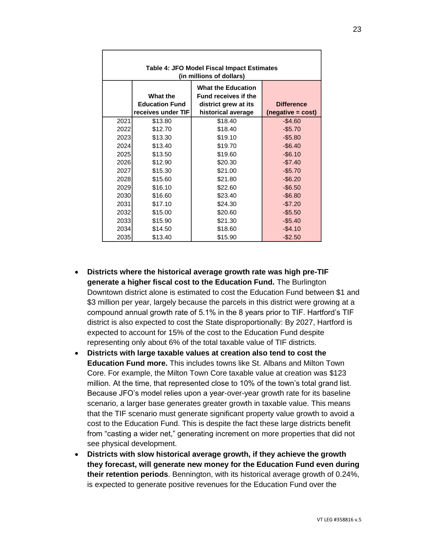| Table 4: JFO Model Fiscal Impact Estimates<br>(in millions of dollars) |                                                                |                                                                                                        |                                        |  |  |
|------------------------------------------------------------------------|----------------------------------------------------------------|--------------------------------------------------------------------------------------------------------|----------------------------------------|--|--|
|                                                                        | <b>What the</b><br><b>Education Fund</b><br>receives under TIF | <b>What the Education</b><br><b>Fund receives if the</b><br>district grew at its<br>historical average | <b>Difference</b><br>(negative = cost) |  |  |
| 2021                                                                   | \$13.80                                                        | \$18.40                                                                                                | $-$4.60$                               |  |  |
| 2022                                                                   | \$12.70                                                        | \$18.40                                                                                                | $-$5.70$                               |  |  |
| 2023                                                                   | \$13.30                                                        | \$19.10                                                                                                | $-$5.80$                               |  |  |
| 2024                                                                   | \$13.40                                                        | \$19.70                                                                                                | $-$6.40$                               |  |  |
| 2025                                                                   | \$13.50                                                        | \$19.60                                                                                                | $-$6.10$                               |  |  |
| 2026                                                                   | \$12.90                                                        | \$20.30                                                                                                | $-$7.40$                               |  |  |
| 2027                                                                   | \$15.30                                                        | \$21.00                                                                                                | $-$5.70$                               |  |  |
| 2028                                                                   | \$15.60                                                        | \$21.80                                                                                                | $-$6.20$                               |  |  |
| 2029                                                                   | \$16.10                                                        | \$22.60                                                                                                | $-$6.50$                               |  |  |
| 2030                                                                   | \$16.60                                                        | \$23.40                                                                                                | $-$6.80$                               |  |  |
| 2031                                                                   | \$17.10                                                        | \$24.30                                                                                                | $-$7.20$                               |  |  |
| 2032                                                                   | \$15.00                                                        | \$20.60                                                                                                | $-$5.50$                               |  |  |
| 2033                                                                   | \$15.90                                                        | \$21.30                                                                                                | $-$5.40$                               |  |  |
| 2034                                                                   | \$14.50                                                        | \$18.60                                                                                                | $-$4.10$                               |  |  |
| 2035                                                                   | \$13.40                                                        | \$15.90                                                                                                | $-$2.50$                               |  |  |

- **Districts where the historical average growth rate was high pre-TIF generate a higher fiscal cost to the Education Fund.** The Burlington Downtown district alone is estimated to cost the Education Fund between \$1 and \$3 million per year, largely because the parcels in this district were growing at a compound annual growth rate of 5.1% in the 8 years prior to TIF. Hartford's TIF district is also expected to cost the State disproportionally: By 2027, Hartford is expected to account for 15% of the cost to the Education Fund despite representing only about 6% of the total taxable value of TIF districts.
- **Districts with large taxable values at creation also tend to cost the Education Fund more.** This includes towns like St. Albans and Milton Town Core. For example, the Milton Town Core taxable value at creation was \$123 million. At the time, that represented close to 10% of the town's total grand list. Because JFO's model relies upon a year-over-year growth rate for its baseline scenario, a larger base generates greater growth in taxable value. This means that the TIF scenario must generate significant property value growth to avoid a cost to the Education Fund. This is despite the fact these large districts benefit from "casting a wider net," generating increment on more properties that did not see physical development.
- **Districts with slow historical average growth, if they achieve the growth they forecast, will generate new money for the Education Fund even during their retention periods**. Bennington, with its historical average growth of 0.24%, is expected to generate positive revenues for the Education Fund over the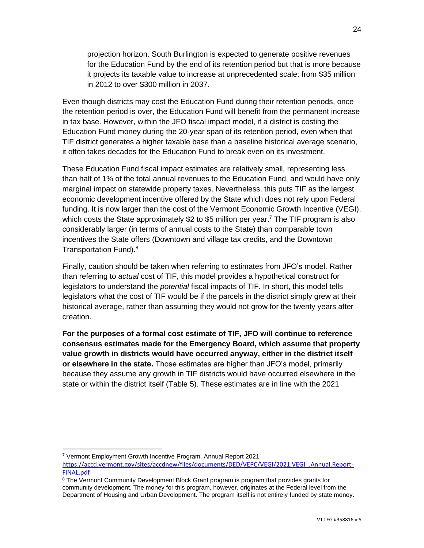projection horizon. South Burlington is expected to generate positive revenues for the Education Fund by the end of its retention period but that is more because it projects its taxable value to increase at unprecedented scale: from \$35 million in 2012 to over \$300 million in 2037.

Even though districts may cost the Education Fund during their retention periods, once the retention period is over, the Education Fund will benefit from the permanent increase in tax base. However, within the JFO fiscal impact model, if a district is costing the Education Fund money during the 20-year span of its retention period, even when that TIF district generates a higher taxable base than a baseline historical average scenario, it often takes decades for the Education Fund to break even on its investment.

These Education Fund fiscal impact estimates are relatively small, representing less than half of 1% of the total annual revenues to the Education Fund, and would have only marginal impact on statewide property taxes. Nevertheless, this puts TIF as the largest economic development incentive offered by the State which does not rely upon Federal funding. It is now larger than the cost of the Vermont Economic Growth Incentive (VEGI), which costs the State approximately \$2 to \$5 million per year.<sup>7</sup> The TIF program is also considerably larger (in terms of annual costs to the State) than comparable town incentives the State offers (Downtown and village tax credits, and the Downtown Transportation Fund).<sup>8</sup>

Finally, caution should be taken when referring to estimates from JFO's model. Rather than referring to *actual* cost of TIF, this model provides a hypothetical construct for legislators to understand the *potential* fiscal impacts of TIF. In short, this model tells legislators what the cost of TIF would be if the parcels in the district simply grew at their historical average, rather than assuming they would not grow for the twenty years after creation.

**For the purposes of a formal cost estimate of TIF, JFO will continue to reference consensus estimates made for the Emergency Board, which assume that property value growth in districts would have occurred anyway, either in the district itself or elsewhere in the state.** Those estimates are higher than JFO's model, primarily because they assume any growth in TIF districts would have occurred elsewhere in the state or within the district itself (Table 5). These estimates are in line with the 2021

<sup>7</sup> Vermont Employment Growth Incentive Program. Annual Report 2021

[https://accd.vermont.gov/sites/accdnew/files/documents/DED/VEPC/VEGI/2021.VEGI\\_.Annual.Report-](https://accd.vermont.gov/sites/accdnew/files/documents/DED/VEPC/VEGI/2021.VEGI_.Annual.Report-FINAL.pdf)[FINAL.pdf](https://accd.vermont.gov/sites/accdnew/files/documents/DED/VEPC/VEGI/2021.VEGI_.Annual.Report-FINAL.pdf)

<sup>&</sup>lt;sup>8</sup> The Vermont Community Development Block Grant program is program that provides grants for community development. The money for this program, however, originates at the Federal level from the Department of Housing and Urban Development. The program itself is not entirely funded by state money.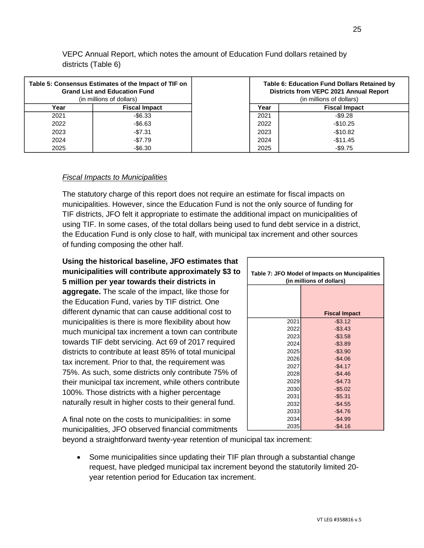| Table 5: Consensus Estimates of the Impact of TIF on<br><b>Grand List and Education Fund</b><br>(in millions of dollars) |                      |      | <b>Table 6: Education Fund Dollars Retained by</b><br>Districts from VEPC 2021 Annual Report<br>(in millions of dollars) |
|--------------------------------------------------------------------------------------------------------------------------|----------------------|------|--------------------------------------------------------------------------------------------------------------------------|
| Year                                                                                                                     | <b>Fiscal Impact</b> | Year | <b>Fiscal Impact</b>                                                                                                     |
| 2021                                                                                                                     | $-$ \$6.33           | 2021 | $-$ \$9.28                                                                                                               |
| 2022                                                                                                                     | $-$6.63$             | 2022 | $-$10.25$                                                                                                                |
| 2023                                                                                                                     | $-$7.31$             | 2023 | $-$10.82$                                                                                                                |
| 2024                                                                                                                     | $-\$7.79$            | 2024 | $-$11.45$                                                                                                                |
| 2025                                                                                                                     | $-$6.30$             | 2025 | $-$9.75$                                                                                                                 |

VEPC Annual Report, which notes the amount of Education Fund dollars retained by districts (Table 6)

#### *Fiscal Impacts to Municipalities*

The statutory charge of this report does not require an estimate for fiscal impacts on municipalities. However, since the Education Fund is not the only source of funding for TIF districts, JFO felt it appropriate to estimate the additional impact on municipalities of using TIF. In some cases, of the total dollars being used to fund debt service in a district, the Education Fund is only close to half, with municipal tax increment and other sources of funding composing the other half.

# **Using the historical baseline, JFO estimates that municipalities will contribute approximately \$3 to**

**5 million per year towards their districts in aggregate.** The scale of the impact, like those for the Education Fund, varies by TIF district. One different dynamic that can cause additional cost to municipalities is there is more flexibility about how much municipal tax increment a town can contribute towards TIF debt servicing. Act 69 of 2017 required districts to contribute at least 85% of total municipal tax increment. Prior to that, the requirement was 75%. As such, some districts only contribute 75% of their municipal tax increment, while others contribute 100%. Those districts with a higher percentage naturally result in higher costs to their general fund.

| Table 7: JFO Model of Impacts on Muncipalities<br>(in millions of dollars) |                      |  |  |  |
|----------------------------------------------------------------------------|----------------------|--|--|--|
|                                                                            |                      |  |  |  |
|                                                                            |                      |  |  |  |
|                                                                            | <b>Fiscal Impact</b> |  |  |  |
| 2021                                                                       | $-$3.12$             |  |  |  |
| 2022                                                                       | $-$ \$3.43           |  |  |  |
| 2023                                                                       | $-$3.58$             |  |  |  |
| 2024                                                                       | $-$ \$3.89           |  |  |  |
| 2025                                                                       | $-$3.90$             |  |  |  |
| 2026                                                                       | $-$4.06$             |  |  |  |
| 2027                                                                       | $-$4.17$             |  |  |  |
| 2028                                                                       | $-$4.46$             |  |  |  |
| 2029                                                                       | $-$4.73$             |  |  |  |
| 2030                                                                       | $-$5.02$             |  |  |  |
| 2031                                                                       | $-$5.31$             |  |  |  |
| 2032                                                                       | $-$4.55$             |  |  |  |
| 2033                                                                       | $-$4.76$             |  |  |  |
| 2034                                                                       | $-$4.99$             |  |  |  |
| 2035                                                                       | $-$4.16$             |  |  |  |

A final note on the costs to municipalities: in some municipalities, JFO observed financial commitments

beyond a straightforward twenty-year retention of municipal tax increment:

• Some municipalities since updating their TIF plan through a substantial change request, have pledged municipal tax increment beyond the statutorily limited 20 year retention period for Education tax increment.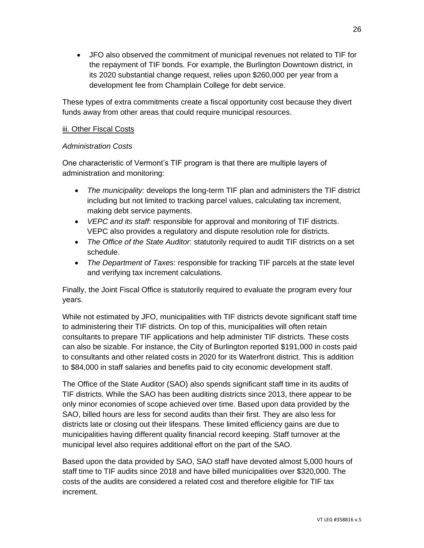• JFO also observed the commitment of municipal revenues not related to TIF for the repayment of TIF bonds. For example, the Burlington Downtown district, in its 2020 substantial change request, relies upon \$260,000 per year from a development fee from Champlain College for debt service.

These types of extra commitments create a fiscal opportunity cost because they divert funds away from other areas that could require municipal resources.

#### iii. Other Fiscal Costs

#### *Administration Costs*

One characteristic of Vermont's TIF program is that there are multiple layers of administration and monitoring:

- *The municipality:* develops the long-term TIF plan and administers the TIF district including but not limited to tracking parcel values, calculating tax increment, making debt service payments.
- *VEPC and its staff*: responsible for approval and monitoring of TIF districts. VEPC also provides a regulatory and dispute resolution role for districts.
- *The Office of the State Auditor*: statutorily required to audit TIF districts on a set schedule.
- *The Department of Taxes*: responsible for tracking TIF parcels at the state level and verifying tax increment calculations.

Finally, the Joint Fiscal Office is statutorily required to evaluate the program every four years.

While not estimated by JFO, municipalities with TIF districts devote significant staff time to administering their TIF districts. On top of this, municipalities will often retain consultants to prepare TIF applications and help administer TIF districts. These costs can also be sizable. For instance, the City of Burlington reported \$191,000 in costs paid to consultants and other related costs in 2020 for its Waterfront district. This is addition to \$84,000 in staff salaries and benefits paid to city economic development staff.

The Office of the State Auditor (SAO) also spends significant staff time in its audits of TIF districts. While the SAO has been auditing districts since 2013, there appear to be only minor economies of scope achieved over time. Based upon data provided by the SAO, billed hours are less for second audits than their first. They are also less for districts late or closing out their lifespans. These limited efficiency gains are due to municipalities having different quality financial record keeping. Staff turnover at the municipal level also requires additional effort on the part of the SAO.

Based upon the data provided by SAO, SAO staff have devoted almost 5,000 hours of staff time to TIF audits since 2018 and have billed municipalities over \$320,000. The costs of the audits are considered a related cost and therefore eligible for TIF tax increment.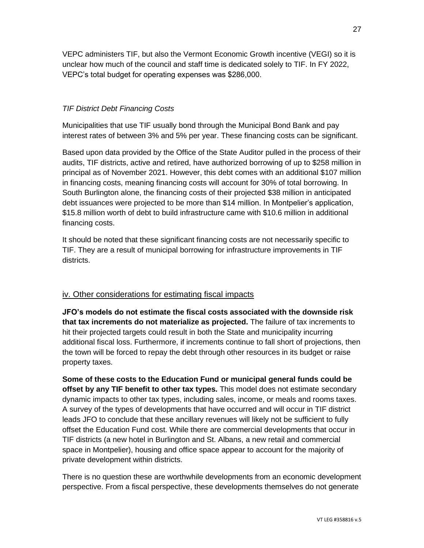VEPC administers TIF, but also the Vermont Economic Growth incentive (VEGI) so it is unclear how much of the council and staff time is dedicated solely to TIF. In FY 2022, VEPC's total budget for operating expenses was \$286,000.

#### *TIF District Debt Financing Costs*

Municipalities that use TIF usually bond through the Municipal Bond Bank and pay interest rates of between 3% and 5% per year. These financing costs can be significant.

Based upon data provided by the Office of the State Auditor pulled in the process of their audits, TIF districts, active and retired, have authorized borrowing of up to \$258 million in principal as of November 2021. However, this debt comes with an additional \$107 million in financing costs, meaning financing costs will account for 30% of total borrowing. In South Burlington alone, the financing costs of their projected \$38 million in anticipated debt issuances were projected to be more than \$14 million. In Montpelier's application, \$15.8 million worth of debt to build infrastructure came with \$10.6 million in additional financing costs.

It should be noted that these significant financing costs are not necessarily specific to TIF. They are a result of municipal borrowing for infrastructure improvements in TIF districts.

#### iv. Other considerations for estimating fiscal impacts

**JFO's models do not estimate the fiscal costs associated with the downside risk that tax increments do not materialize as projected.** The failure of tax increments to hit their projected targets could result in both the State and municipality incurring additional fiscal loss. Furthermore, if increments continue to fall short of projections, then the town will be forced to repay the debt through other resources in its budget or raise property taxes.

**Some of these costs to the Education Fund or municipal general funds could be offset by any TIF benefit to other tax types.** This model does not estimate secondary dynamic impacts to other tax types, including sales, income, or meals and rooms taxes. A survey of the types of developments that have occurred and will occur in TIF district leads JFO to conclude that these ancillary revenues will likely not be sufficient to fully offset the Education Fund cost. While there are commercial developments that occur in TIF districts (a new hotel in Burlington and St. Albans, a new retail and commercial space in Montpelier), housing and office space appear to account for the majority of private development within districts.

There is no question these are worthwhile developments from an economic development perspective. From a fiscal perspective, these developments themselves do not generate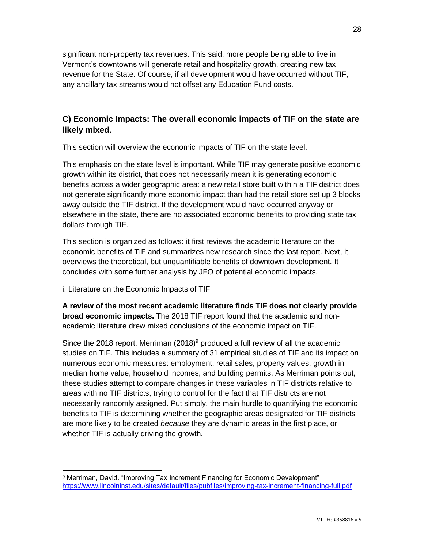significant non-property tax revenues. This said, more people being able to live in Vermont's downtowns will generate retail and hospitality growth, creating new tax revenue for the State. Of course, if all development would have occurred without TIF, any ancillary tax streams would not offset any Education Fund costs.

## **C) Economic Impacts: The overall economic impacts of TIF on the state are likely mixed.**

This section will overview the economic impacts of TIF on the state level.

This emphasis on the state level is important. While TIF may generate positive economic growth within its district, that does not necessarily mean it is generating economic benefits across a wider geographic area: a new retail store built within a TIF district does not generate significantly more economic impact than had the retail store set up 3 blocks away outside the TIF district. If the development would have occurred anyway or elsewhere in the state, there are no associated economic benefits to providing state tax dollars through TIF.

This section is organized as follows: it first reviews the academic literature on the economic benefits of TIF and summarizes new research since the last report. Next, it overviews the theoretical, but unquantifiable benefits of downtown development. It concludes with some further analysis by JFO of potential economic impacts.

#### i. Literature on the Economic Impacts of TIF

**A review of the most recent academic literature finds TIF does not clearly provide broad economic impacts.** The 2018 TIF report found that the academic and nonacademic literature drew mixed conclusions of the economic impact on TIF.

Since the 2018 report, Merriman  $(2018)^9$  produced a full review of all the academic studies on TIF. This includes a summary of 31 empirical studies of TIF and its impact on numerous economic measures: employment, retail sales, property values, growth in median home value, household incomes, and building permits. As Merriman points out, these studies attempt to compare changes in these variables in TIF districts relative to areas with no TIF districts, trying to control for the fact that TIF districts are not necessarily randomly assigned. Put simply, the main hurdle to quantifying the economic benefits to TIF is determining whether the geographic areas designated for TIF districts are more likely to be created *because* they are dynamic areas in the first place, or whether TIF is actually driving the growth.

<sup>9</sup> Merriman, David. "Improving Tax Increment Financing for Economic Development" <https://www.lincolninst.edu/sites/default/files/pubfiles/improving-tax-increment-financing-full.pdf>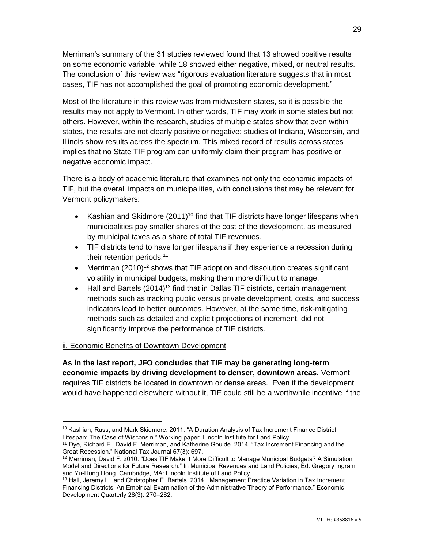Merriman's summary of the 31 studies reviewed found that 13 showed positive results on some economic variable, while 18 showed either negative, mixed, or neutral results. The conclusion of this review was "rigorous evaluation literature suggests that in most cases, TIF has not accomplished the goal of promoting economic development."

Most of the literature in this review was from midwestern states, so it is possible the results may not apply to Vermont. In other words, TIF may work in some states but not others. However, within the research, studies of multiple states show that even within states, the results are not clearly positive or negative: studies of Indiana, Wisconsin, and Illinois show results across the spectrum. This mixed record of results across states implies that no State TIF program can uniformly claim their program has positive or negative economic impact.

There is a body of academic literature that examines not only the economic impacts of TIF, but the overall impacts on municipalities, with conclusions that may be relevant for Vermont policymakers:

- Kashian and Skidmore  $(2011)^{10}$  find that TIF districts have longer lifespans when municipalities pay smaller shares of the cost of the development, as measured by municipal taxes as a share of total TIF revenues.
- TIF districts tend to have longer lifespans if they experience a recession during their retention periods.<sup>11</sup>
- Merriman  $(2010)^{12}$  shows that TIF adoption and dissolution creates significant volatility in municipal budgets, making them more difficult to manage.
- Hall and Bartels  $(2014)^{13}$  find that in Dallas TIF districts, certain management methods such as tracking public versus private development, costs, and success indicators lead to better outcomes. However, at the same time, risk-mitigating methods such as detailed and explicit projections of increment, did not significantly improve the performance of TIF districts.

#### ii. Economic Benefits of Downtown Development

**As in the last report, JFO concludes that TIF may be generating long-term economic impacts by driving development to denser, downtown areas.** Vermont requires TIF districts be located in downtown or dense areas. Even if the development would have happened elsewhere without it, TIF could still be a worthwhile incentive if the

<sup>&</sup>lt;sup>10</sup> Kashian, Russ, and Mark Skidmore. 2011. "A Duration Analysis of Tax Increment Finance District Lifespan: The Case of Wisconsin." Working paper. Lincoln Institute for Land Policy.

<sup>11</sup> Dye, Richard F., David F. Merriman, and Katherine Goulde. 2014. "Tax Increment Financing and the Great Recession." National Tax Journal 67(3): 697.

<sup>&</sup>lt;sup>12</sup> Merriman, David F. 2010. "Does TIF Make It More Difficult to Manage Municipal Budgets? A Simulation Model and Directions for Future Research." In Municipal Revenues and Land Policies, Ed. Gregory Ingram and Yu-Hung Hong. Cambridge, MA: Lincoln Institute of Land Policy.

<sup>&</sup>lt;sup>13</sup> Hall, Jeremy L., and Christopher E. Bartels. 2014. "Management Practice Variation in Tax Increment Financing Districts: An Empirical Examination of the Administrative Theory of Performance." Economic Development Quarterly 28(3): 270–282.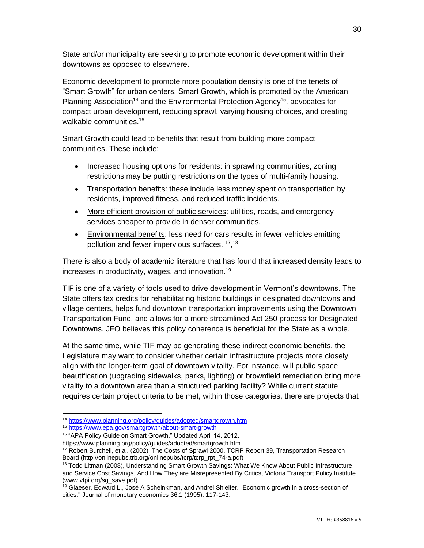State and/or municipality are seeking to promote economic development within their downtowns as opposed to elsewhere.

Economic development to promote more population density is one of the tenets of "Smart Growth" for urban centers. Smart Growth, which is promoted by the American Planning Association<sup>14</sup> and the Environmental Protection Agency<sup>15</sup>, advocates for compact urban development, reducing sprawl, varying housing choices, and creating walkable communities.<sup>16</sup>

Smart Growth could lead to benefits that result from building more compact communities. These include:

- Increased housing options for residents: in sprawling communities, zoning restrictions may be putting restrictions on the types of multi-family housing.
- Transportation benefits: these include less money spent on transportation by residents, improved fitness, and reduced traffic incidents.
- More efficient provision of public services: utilities, roads, and emergency services cheaper to provide in denser communities.
- Environmental benefits: less need for cars results in fewer vehicles emitting pollution and fewer impervious surfaces. <sup>17</sup>, <sup>18</sup>

There is also a body of academic literature that has found that increased density leads to increases in productivity, wages, and innovation.<sup>19</sup>

TIF is one of a variety of tools used to drive development in Vermont's downtowns. The State offers tax credits for rehabilitating historic buildings in designated downtowns and village centers, helps fund downtown transportation improvements using the Downtown Transportation Fund, and allows for a more streamlined Act 250 process for Designated Downtowns. JFO believes this policy coherence is beneficial for the State as a whole.

At the same time, while TIF may be generating these indirect economic benefits, the Legislature may want to consider whether certain infrastructure projects more closely align with the longer-term goal of downtown vitality. For instance, will public space beautification (upgrading sidewalks, parks, lighting) or brownfield remediation bring more vitality to a downtown area than a structured parking facility? While current statute requires certain project criteria to be met, within those categories, there are projects that

<sup>14</sup> <https://www.planning.org/policy/guides/adopted/smartgrowth.htm>

<sup>15</sup> <https://www.epa.gov/smartgrowth/about-smart-growth>

<sup>&</sup>lt;sup>16</sup> "APA Policy Guide on Smart Growth." Updated April 14, 2012.

https://www.planning.org/policy/guides/adopted/smartgrowth.htm

<sup>17</sup> Robert Burchell, et al. (2002), The Costs of Sprawl 2000, TCRP Report 39, Transportation Research Board (http://onlinepubs.trb.org/onlinepubs/tcrp/tcrp\_rpt\_74-a.pdf)

<sup>&</sup>lt;sup>18</sup> Todd Litman (2008), Understanding Smart Growth Savings: What We Know About Public Infrastructure and Service Cost Savings, And How They are Misrepresented By Critics, Victoria Transport Policy Institute (www.vtpi.org/sg\_save.pdf).

<sup>&</sup>lt;sup>19</sup> Glaeser, Edward L., José A Scheinkman, and Andrei Shleifer. "Economic growth in a cross-section of cities." Journal of monetary economics 36.1 (1995): 117-143.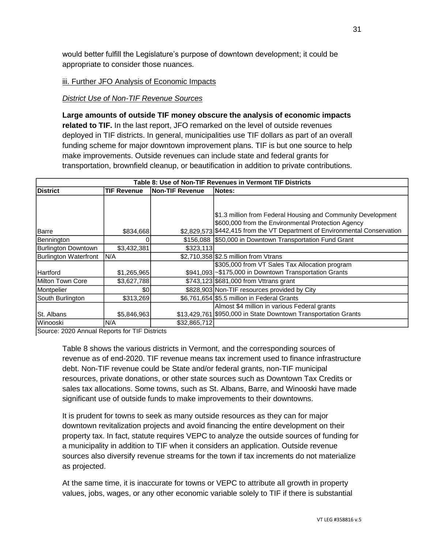would better fulfill the Legislature's purpose of downtown development; it could be appropriate to consider those nuances.

#### iii. Further JFO Analysis of Economic Impacts

#### *District Use of Non-TIF Revenue Sources*

**Large amounts of outside TIF money obscure the analysis of economic impacts related to TIF.** In the last report, JFO remarked on the level of outside revenues deployed in TIF districts. In general, municipalities use TIF dollars as part of an overall funding scheme for major downtown improvement plans. TIF is but one source to help make improvements. Outside revenues can include state and federal grants for transportation, brownfield cleanup, or beautification in addition to private contributions.

| Table 8: Use of Non-TIF Revenues in Vermont TIF Districts |                    |                        |                                                                            |  |  |
|-----------------------------------------------------------|--------------------|------------------------|----------------------------------------------------------------------------|--|--|
| <b>District</b>                                           | <b>TIF Revenue</b> | <b>Non-TIF Revenue</b> | <b>Notes:</b>                                                              |  |  |
|                                                           |                    |                        |                                                                            |  |  |
|                                                           |                    |                        |                                                                            |  |  |
|                                                           |                    |                        | \$1.3 million from Federal Housing and Community Development               |  |  |
|                                                           |                    |                        | \$600,000 from the Environmental Protection Agency                         |  |  |
| Barre                                                     | \$834,668          |                        | \$2,829,573 \$442,415 from the VT Department of Environmental Conservation |  |  |
| Bennington                                                |                    |                        | \$156,088 \$50,000 in Downtown Transportation Fund Grant                   |  |  |
| Burlington Downtown                                       | \$3,432,381        | \$323,113              |                                                                            |  |  |
| Burlington Waterfront                                     | N/A                |                        | \$2,710,358 \$2.5 million from Vtrans                                      |  |  |
|                                                           |                    |                        | \$305,000 from VT Sales Tax Allocation program                             |  |  |
| Hartford                                                  | \$1,265,965        |                        | \$941,093 ~ \$175,000 in Downtown Transportation Grants                    |  |  |
| Milton Town Core                                          | \$3,627,788        |                        | \$743,123 \$681,000 from Vttrans grant                                     |  |  |
| Montpelier                                                | \$0                |                        | \$828,903 Non-TIF resources provided by City                               |  |  |
| South Burlington                                          | \$313,269          |                        | \$6,761,654 \$5.5 million in Federal Grants                                |  |  |
|                                                           |                    |                        | Almost \$4 million in various Federal grants                               |  |  |
| St. Albans                                                | \$5,846,963        |                        | \$13,429,761 \$950,000 in State Downtown Transportation Grants             |  |  |
| <b>Winooski</b>                                           | N/A                | \$32,865,712           |                                                                            |  |  |

Source: 2020 Annual Reports for TIF Districts

Table 8 shows the various districts in Vermont, and the corresponding sources of revenue as of end-2020. TIF revenue means tax increment used to finance infrastructure debt. Non-TIF revenue could be State and/or federal grants, non-TIF municipal resources, private donations, or other state sources such as Downtown Tax Credits or sales tax allocations. Some towns, such as St. Albans, Barre, and Winooski have made significant use of outside funds to make improvements to their downtowns.

It is prudent for towns to seek as many outside resources as they can for major downtown revitalization projects and avoid financing the entire development on their property tax. In fact, statute requires VEPC to analyze the outside sources of funding for a municipality in addition to TIF when it considers an application. Outside revenue sources also diversify revenue streams for the town if tax increments do not materialize as projected.

At the same time, it is inaccurate for towns or VEPC to attribute all growth in property values, jobs, wages, or any other economic variable solely to TIF if there is substantial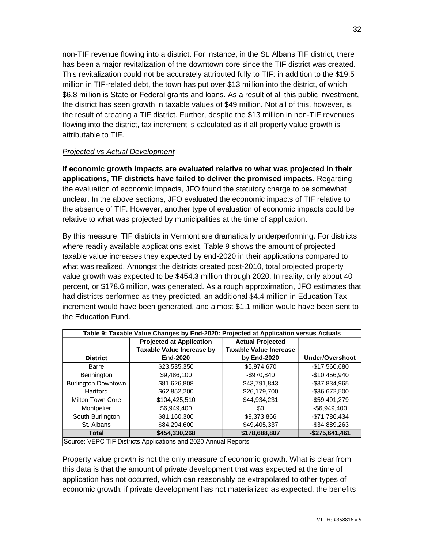non-TIF revenue flowing into a district. For instance, in the St. Albans TIF district, there has been a major revitalization of the downtown core since the TIF district was created. This revitalization could not be accurately attributed fully to TIF: in addition to the \$19.5 million in TIF-related debt, the town has put over \$13 million into the district, of which \$6.8 million is State or Federal grants and loans. As a result of all this public investment, the district has seen growth in taxable values of \$49 million. Not all of this, however, is the result of creating a TIF district. Further, despite the \$13 million in non-TIF revenues flowing into the district, tax increment is calculated as if all property value growth is attributable to TIF.

#### *Projected vs Actual Development*

**If economic growth impacts are evaluated relative to what was projected in their applications, TIF districts have failed to deliver the promised impacts.** Regarding the evaluation of economic impacts, JFO found the statutory charge to be somewhat unclear. In the above sections, JFO evaluated the economic impacts of TIF relative to the absence of TIF. However, another type of evaluation of economic impacts could be relative to what was projected by municipalities at the time of application.

By this measure, TIF districts in Vermont are dramatically underperforming. For districts where readily available applications exist, Table 9 shows the amount of projected taxable value increases they expected by end-2020 in their applications compared to what was realized. Amongst the districts created post-2010, total projected property value growth was expected to be \$454.3 million through 2020. In reality, only about 40 percent, or \$178.6 million, was generated. As a rough approximation, JFO estimates that had districts performed as they predicted, an additional \$4.4 million in Education Tax increment would have been generated, and almost \$1.1 million would have been sent to the Education Fund.

| Table 9: Taxable Value Changes by End-2020: Projected at Application versus Actuals |                                                            |                               |                 |  |  |
|-------------------------------------------------------------------------------------|------------------------------------------------------------|-------------------------------|-----------------|--|--|
|                                                                                     | <b>Projected at Application</b><br><b>Actual Projected</b> |                               |                 |  |  |
|                                                                                     | <b>Taxable Value Increase by</b>                           | <b>Taxable Value Increase</b> |                 |  |  |
| <b>District</b>                                                                     | End-2020                                                   | by End-2020                   | Under/Overshoot |  |  |
| Barre                                                                               | \$23,535,350                                               | \$5,974,670                   | $-$17,560,680$  |  |  |
| Bennington                                                                          | \$9,486,100                                                | -\$970,840                    | $-$10,456,940$  |  |  |
| <b>Burlington Downtown</b>                                                          | \$81,626,808                                               | \$43,791,843                  | -\$37,834,965   |  |  |
| Hartford                                                                            | \$62,852,200                                               | \$26,179,700                  | $-$36,672,500$  |  |  |
| Milton Town Core                                                                    | \$104,425,510                                              | \$44,934,231                  | $-$59,491,279$  |  |  |
| Montpelier                                                                          | \$6.949.400                                                | \$0                           | $-$6,949,400$   |  |  |
| South Burlington                                                                    | \$81,160,300                                               | \$9,373,866                   | $-$71,786,434$  |  |  |
| St. Albans                                                                          | \$84,294,600                                               | \$49,405,337                  | $-$34,889,263$  |  |  |
| <b>Total</b>                                                                        | \$454,330,268                                              | \$178,688,807                 | $-$275,641,461$ |  |  |

Source: VEPC TIF Districts Applications and 2020 Annual Reports

Property value growth is not the only measure of economic growth. What is clear from this data is that the amount of private development that was expected at the time of application has not occurred, which can reasonably be extrapolated to other types of economic growth: if private development has not materialized as expected, the benefits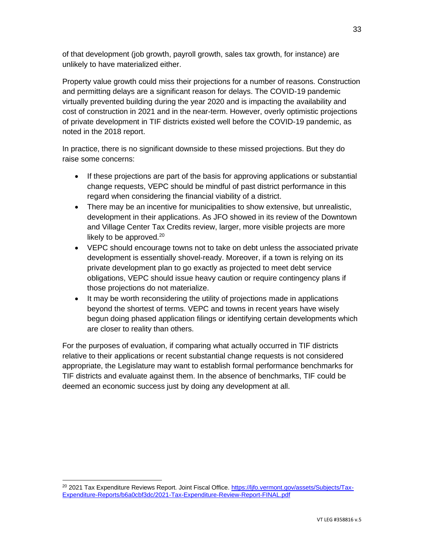of that development (job growth, payroll growth, sales tax growth, for instance) are unlikely to have materialized either.

Property value growth could miss their projections for a number of reasons. Construction and permitting delays are a significant reason for delays. The COVID-19 pandemic virtually prevented building during the year 2020 and is impacting the availability and cost of construction in 2021 and in the near-term. However, overly optimistic projections of private development in TIF districts existed well before the COVID-19 pandemic, as noted in the 2018 report.

In practice, there is no significant downside to these missed projections. But they do raise some concerns:

- If these projections are part of the basis for approving applications or substantial change requests, VEPC should be mindful of past district performance in this regard when considering the financial viability of a district.
- There may be an incentive for municipalities to show extensive, but unrealistic, development in their applications. As JFO showed in its review of the Downtown and Village Center Tax Credits review, larger, more visible projects are more likely to be approved. $20$
- VEPC should encourage towns not to take on debt unless the associated private development is essentially shovel-ready. Moreover, if a town is relying on its private development plan to go exactly as projected to meet debt service obligations, VEPC should issue heavy caution or require contingency plans if those projections do not materialize.
- It may be worth reconsidering the utility of projections made in applications beyond the shortest of terms. VEPC and towns in recent years have wisely begun doing phased application filings or identifying certain developments which are closer to reality than others.

For the purposes of evaluation, if comparing what actually occurred in TIF districts relative to their applications or recent substantial change requests is not considered appropriate, the Legislature may want to establish formal performance benchmarks for TIF districts and evaluate against them. In the absence of benchmarks, TIF could be deemed an economic success just by doing any development at all.

<sup>&</sup>lt;sup>20</sup> 2021 Tax Expenditure Reviews Report. Joint Fiscal Office. [https://ljfo.vermont.gov/assets/Subjects/Tax-](https://ljfo.vermont.gov/assets/Subjects/Tax-Expenditure-Reports/b6a0cbf3dc/2021-Tax-Expenditure-Review-Report-FINAL.pdf)[Expenditure-Reports/b6a0cbf3dc/2021-Tax-Expenditure-Review-Report-FINAL.pdf](https://ljfo.vermont.gov/assets/Subjects/Tax-Expenditure-Reports/b6a0cbf3dc/2021-Tax-Expenditure-Review-Report-FINAL.pdf)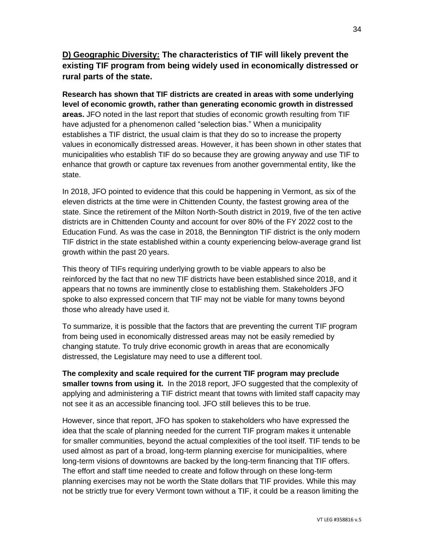**D) Geographic Diversity: The characteristics of TIF will likely prevent the existing TIF program from being widely used in economically distressed or rural parts of the state.**

**Research has shown that TIF districts are created in areas with some underlying level of economic growth, rather than generating economic growth in distressed areas.** JFO noted in the last report that studies of economic growth resulting from TIF have adjusted for a phenomenon called "selection bias." When a municipality establishes a TIF district, the usual claim is that they do so to increase the property values in economically distressed areas. However, it has been shown in other states that municipalities who establish TIF do so because they are growing anyway and use TIF to enhance that growth or capture tax revenues from another governmental entity, like the state.

In 2018, JFO pointed to evidence that this could be happening in Vermont, as six of the eleven districts at the time were in Chittenden County, the fastest growing area of the state. Since the retirement of the Milton North-South district in 2019, five of the ten active districts are in Chittenden County and account for over 80% of the FY 2022 cost to the Education Fund. As was the case in 2018, the Bennington TIF district is the only modern TIF district in the state established within a county experiencing below-average grand list growth within the past 20 years.

This theory of TIFs requiring underlying growth to be viable appears to also be reinforced by the fact that no new TIF districts have been established since 2018, and it appears that no towns are imminently close to establishing them. Stakeholders JFO spoke to also expressed concern that TIF may not be viable for many towns beyond those who already have used it.

To summarize, it is possible that the factors that are preventing the current TIF program from being used in economically distressed areas may not be easily remedied by changing statute. To truly drive economic growth in areas that are economically distressed, the Legislature may need to use a different tool.

**The complexity and scale required for the current TIF program may preclude smaller towns from using it.** In the 2018 report, JFO suggested that the complexity of applying and administering a TIF district meant that towns with limited staff capacity may not see it as an accessible financing tool. JFO still believes this to be true.

However, since that report, JFO has spoken to stakeholders who have expressed the idea that the scale of planning needed for the current TIF program makes it untenable for smaller communities, beyond the actual complexities of the tool itself. TIF tends to be used almost as part of a broad, long-term planning exercise for municipalities, where long-term visions of downtowns are backed by the long-term financing that TIF offers. The effort and staff time needed to create and follow through on these long-term planning exercises may not be worth the State dollars that TIF provides. While this may not be strictly true for every Vermont town without a TIF, it could be a reason limiting the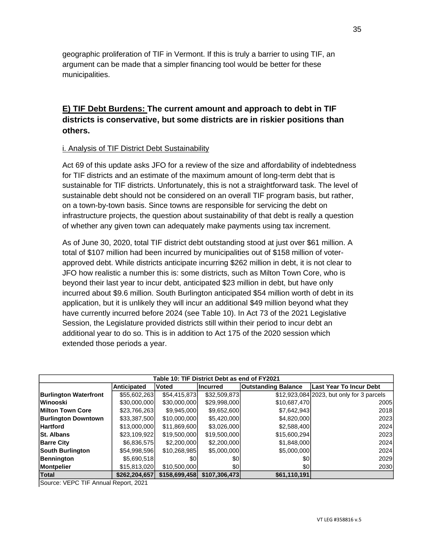geographic proliferation of TIF in Vermont. If this is truly a barrier to using TIF, an argument can be made that a simpler financing tool would be better for these municipalities.

# **E) TIF Debt Burdens: The current amount and approach to debt in TIF districts is conservative, but some districts are in riskier positions than others.**

#### i. Analysis of TIF District Debt Sustainability

Act 69 of this update asks JFO for a review of the size and affordability of indebtedness for TIF districts and an estimate of the maximum amount of long-term debt that is sustainable for TIF districts. Unfortunately, this is not a straightforward task. The level of sustainable debt should not be considered on an overall TIF program basis, but rather, on a town-by-town basis. Since towns are responsible for servicing the debt on infrastructure projects, the question about sustainability of that debt is really a question of whether any given town can adequately make payments using tax increment.

As of June 30, 2020, total TIF district debt outstanding stood at just over \$61 million. A total of \$107 million had been incurred by municipalities out of \$158 million of voterapproved debt. While districts anticipate incurring \$262 million in debt, it is not clear to JFO how realistic a number this is: some districts, such as Milton Town Core, who is beyond their last year to incur debt, anticipated \$23 million in debt, but have only incurred about \$9.6 million. South Burlington anticipated \$54 million worth of debt in its application, but it is unlikely they will incur an additional \$49 million beyond what they have currently incurred before 2024 (see Table 10). In Act 73 of the 2021 Legislative Session, the Legislature provided districts still within their period to incur debt an additional year to do so. This is in addition to Act 175 of the 2020 session which extended those periods a year.

| Table 10: TIF District Debt as end of FY2021 |               |               |                 |                            |                                           |
|----------------------------------------------|---------------|---------------|-----------------|----------------------------|-------------------------------------------|
|                                              | Anticipated   | <b>Voted</b>  | <b>Incurred</b> | <b>Outstanding Balance</b> | <b>Last Year To Incur Debt</b>            |
| <b>Burlington Waterfront</b>                 | \$55,602,263  | \$54,415,873  | \$32,509,873    |                            | \$12,923,084 2023, but only for 3 parcels |
| <u>lWinooski</u>                             | \$30,000,000  | \$30,000,000  | \$29,998,000    | \$10,687,470               | 2005                                      |
| Milton Town Core                             | \$23,766,263  | \$9,945,000   | \$9,652,600     | \$7,642,943                | 2018                                      |
| <b>Burlington Downtown</b>                   | \$33,387,500  | \$10,000,000  | \$5,420,000     | \$4,820,000                | 2023                                      |
| <b>Hartford</b>                              | \$13,000,000  | \$11,869,600  | \$3,026,000     | \$2,588,400                | 2024                                      |
| <b>St. Albans</b>                            | \$23,109,922  | \$19,500,000  | \$19,500,000    | \$15,600,294               | 2023                                      |
| <b>Barre City</b>                            | \$6,836,575   | \$2,200,000   | \$2,200,000     | \$1,848,000                | 2024                                      |
| South Burlington                             | \$54,998,596  | \$10,268,985  | \$5,000,000     | \$5,000,000                | 2024                                      |
| Bennington                                   | \$5,690,518   | \$0           | \$0             | \$0                        | 2029                                      |
| Montpelier                                   | \$15,813,020  | \$10,500,000  | \$0             | \$0                        | 2030                                      |
| Total                                        | \$262.204.657 | \$158,699,458 | \$107.306.473   | \$61,110,191               |                                           |

Source: VEPC TIF Annual Report, 2021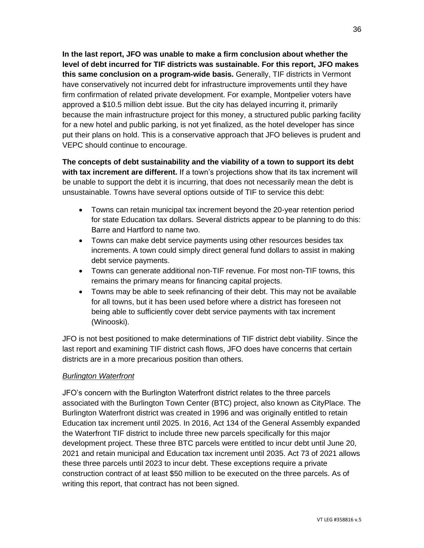**In the last report, JFO was unable to make a firm conclusion about whether the level of debt incurred for TIF districts was sustainable. For this report, JFO makes this same conclusion on a program-wide basis.** Generally, TIF districts in Vermont have conservatively not incurred debt for infrastructure improvements until they have firm confirmation of related private development. For example, Montpelier voters have approved a \$10.5 million debt issue. But the city has delayed incurring it, primarily because the main infrastructure project for this money, a structured public parking facility for a new hotel and public parking, is not yet finalized, as the hotel developer has since put their plans on hold. This is a conservative approach that JFO believes is prudent and VEPC should continue to encourage.

**The concepts of debt sustainability and the viability of a town to support its debt with tax increment are different.** If a town's projections show that its tax increment will be unable to support the debt it is incurring, that does not necessarily mean the debt is unsustainable. Towns have several options outside of TIF to service this debt:

- Towns can retain municipal tax increment beyond the 20-year retention period for state Education tax dollars. Several districts appear to be planning to do this: Barre and Hartford to name two.
- Towns can make debt service payments using other resources besides tax increments. A town could simply direct general fund dollars to assist in making debt service payments.
- Towns can generate additional non-TIF revenue. For most non-TIF towns, this remains the primary means for financing capital projects.
- Towns may be able to seek refinancing of their debt. This may not be available for all towns, but it has been used before where a district has foreseen not being able to sufficiently cover debt service payments with tax increment (Winooski).

JFO is not best positioned to make determinations of TIF district debt viability. Since the last report and examining TIF district cash flows, JFO does have concerns that certain districts are in a more precarious position than others.

#### *Burlington Waterfront*

JFO's concern with the Burlington Waterfront district relates to the three parcels associated with the Burlington Town Center (BTC) project, also known as CityPlace. The Burlington Waterfront district was created in 1996 and was originally entitled to retain Education tax increment until 2025. In 2016, Act 134 of the General Assembly expanded the Waterfront TIF district to include three new parcels specifically for this major development project. These three BTC parcels were entitled to incur debt until June 20, 2021 and retain municipal and Education tax increment until 2035. Act 73 of 2021 allows these three parcels until 2023 to incur debt. These exceptions require a private construction contract of at least \$50 million to be executed on the three parcels. As of writing this report, that contract has not been signed.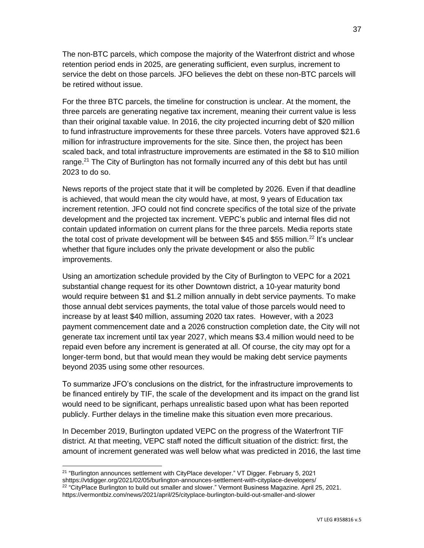The non-BTC parcels, which compose the majority of the Waterfront district and whose retention period ends in 2025, are generating sufficient, even surplus, increment to service the debt on those parcels. JFO believes the debt on these non-BTC parcels will be retired without issue.

For the three BTC parcels, the timeline for construction is unclear. At the moment, the three parcels are generating negative tax increment, meaning their current value is less than their original taxable value. In 2016, the city projected incurring debt of \$20 million to fund infrastructure improvements for these three parcels. Voters have approved \$21.6 million for infrastructure improvements for the site. Since then, the project has been scaled back, and total infrastructure improvements are estimated in the \$8 to \$10 million range.<sup>21</sup> The City of Burlington has not formally incurred any of this debt but has until 2023 to do so.

News reports of the project state that it will be completed by 2026. Even if that deadline is achieved, that would mean the city would have, at most, 9 years of Education tax increment retention. JFO could not find concrete specifics of the total size of the private development and the projected tax increment. VEPC's public and internal files did not contain updated information on current plans for the three parcels. Media reports state the total cost of private development will be between \$45 and \$55 million.<sup>22</sup> It's unclear whether that figure includes only the private development or also the public improvements.

Using an amortization schedule provided by the City of Burlington to VEPC for a 2021 substantial change request for its other Downtown district, a 10-year maturity bond would require between \$1 and \$1.2 million annually in debt service payments. To make those annual debt services payments, the total value of those parcels would need to increase by at least \$40 million, assuming 2020 tax rates. However, with a 2023 payment commencement date and a 2026 construction completion date, the City will not generate tax increment until tax year 2027, which means \$3.4 million would need to be repaid even before any increment is generated at all. Of course, the city may opt for a longer-term bond, but that would mean they would be making debt service payments beyond 2035 using some other resources.

To summarize JFO's conclusions on the district, for the infrastructure improvements to be financed entirely by TIF, the scale of the development and its impact on the grand list would need to be significant, perhaps unrealistic based upon what has been reported publicly. Further delays in the timeline make this situation even more precarious.

In December 2019, Burlington updated VEPC on the progress of the Waterfront TIF district. At that meeting, VEPC staff noted the difficult situation of the district: first, the amount of increment generated was well below what was predicted in 2016, the last time

<sup>&</sup>lt;sup>21</sup> "Burlington announces settlement with CityPlace developer." VT Digger. February 5, 2021 shttps://vtdigger.org/2021/02/05/burlington-announces-settlement-with-cityplace-developers/ <sup>22</sup> "CityPlace Burlington to build out smaller and slower." Vermont Business Magazine. April 25, 2021. https://vermontbiz.com/news/2021/april/25/cityplace-burlington-build-out-smaller-and-slower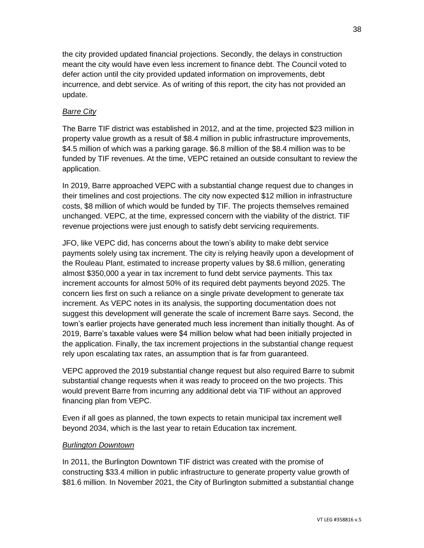the city provided updated financial projections. Secondly, the delays in construction meant the city would have even less increment to finance debt. The Council voted to defer action until the city provided updated information on improvements, debt incurrence, and debt service. As of writing of this report, the city has not provided an update.

#### *Barre City*

The Barre TIF district was established in 2012, and at the time, projected \$23 million in property value growth as a result of \$8.4 million in public infrastructure improvements, \$4.5 million of which was a parking garage. \$6.8 million of the \$8.4 million was to be funded by TIF revenues. At the time, VEPC retained an outside consultant to review the application.

In 2019, Barre approached VEPC with a substantial change request due to changes in their timelines and cost projections. The city now expected \$12 million in infrastructure costs, \$8 million of which would be funded by TIF. The projects themselves remained unchanged. VEPC, at the time, expressed concern with the viability of the district. TIF revenue projections were just enough to satisfy debt servicing requirements.

JFO, like VEPC did, has concerns about the town's ability to make debt service payments solely using tax increment. The city is relying heavily upon a development of the Rouleau Plant, estimated to increase property values by \$8.6 million, generating almost \$350,000 a year in tax increment to fund debt service payments. This tax increment accounts for almost 50% of its required debt payments beyond 2025. The concern lies first on such a reliance on a single private development to generate tax increment. As VEPC notes in its analysis, the supporting documentation does not suggest this development will generate the scale of increment Barre says. Second, the town's earlier projects have generated much less increment than initially thought. As of 2019, Barre's taxable values were \$4 million below what had been initially projected in the application. Finally, the tax increment projections in the substantial change request rely upon escalating tax rates, an assumption that is far from guaranteed.

VEPC approved the 2019 substantial change request but also required Barre to submit substantial change requests when it was ready to proceed on the two projects. This would prevent Barre from incurring any additional debt via TIF without an approved financing plan from VEPC.

Even if all goes as planned, the town expects to retain municipal tax increment well beyond 2034, which is the last year to retain Education tax increment.

#### *Burlington Downtown*

In 2011, the Burlington Downtown TIF district was created with the promise of constructing \$33.4 million in public infrastructure to generate property value growth of \$81.6 million. In November 2021, the City of Burlington submitted a substantial change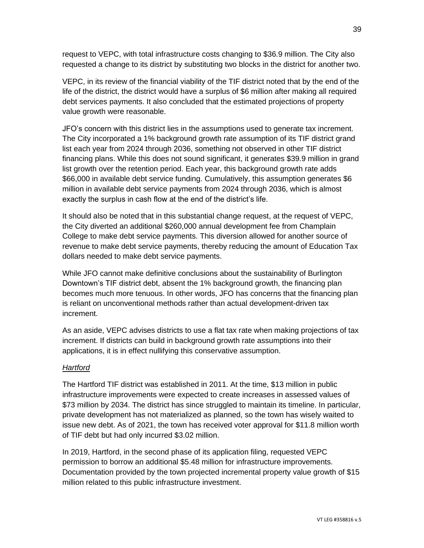request to VEPC, with total infrastructure costs changing to \$36.9 million. The City also requested a change to its district by substituting two blocks in the district for another two.

VEPC, in its review of the financial viability of the TIF district noted that by the end of the life of the district, the district would have a surplus of \$6 million after making all required debt services payments. It also concluded that the estimated projections of property value growth were reasonable.

JFO's concern with this district lies in the assumptions used to generate tax increment. The City incorporated a 1% background growth rate assumption of its TIF district grand list each year from 2024 through 2036, something not observed in other TIF district financing plans. While this does not sound significant, it generates \$39.9 million in grand list growth over the retention period. Each year, this background growth rate adds \$66,000 in available debt service funding. Cumulatively, this assumption generates \$6 million in available debt service payments from 2024 through 2036, which is almost exactly the surplus in cash flow at the end of the district's life.

It should also be noted that in this substantial change request, at the request of VEPC, the City diverted an additional \$260,000 annual development fee from Champlain College to make debt service payments. This diversion allowed for another source of revenue to make debt service payments, thereby reducing the amount of Education Tax dollars needed to make debt service payments.

While JFO cannot make definitive conclusions about the sustainability of Burlington Downtown's TIF district debt, absent the 1% background growth, the financing plan becomes much more tenuous. In other words, JFO has concerns that the financing plan is reliant on unconventional methods rather than actual development-driven tax increment.

As an aside, VEPC advises districts to use a flat tax rate when making projections of tax increment. If districts can build in background growth rate assumptions into their applications, it is in effect nullifying this conservative assumption.

#### *Hartford*

The Hartford TIF district was established in 2011. At the time, \$13 million in public infrastructure improvements were expected to create increases in assessed values of \$73 million by 2034. The district has since struggled to maintain its timeline. In particular, private development has not materialized as planned, so the town has wisely waited to issue new debt. As of 2021, the town has received voter approval for \$11.8 million worth of TIF debt but had only incurred \$3.02 million.

In 2019, Hartford, in the second phase of its application filing, requested VEPC permission to borrow an additional \$5.48 million for infrastructure improvements. Documentation provided by the town projected incremental property value growth of \$15 million related to this public infrastructure investment.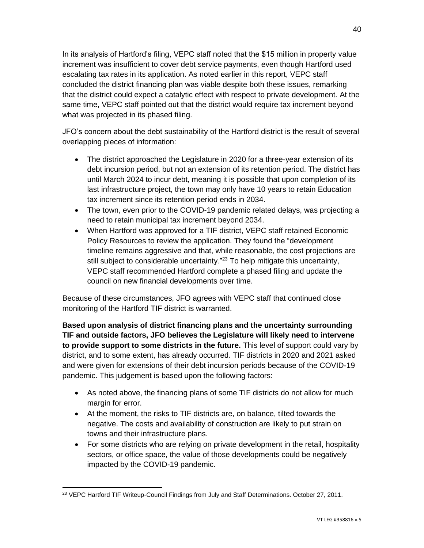In its analysis of Hartford's filing, VEPC staff noted that the \$15 million in property value increment was insufficient to cover debt service payments, even though Hartford used escalating tax rates in its application. As noted earlier in this report, VEPC staff concluded the district financing plan was viable despite both these issues, remarking that the district could expect a catalytic effect with respect to private development. At the same time, VEPC staff pointed out that the district would require tax increment beyond what was projected in its phased filing.

JFO's concern about the debt sustainability of the Hartford district is the result of several overlapping pieces of information:

- The district approached the Legislature in 2020 for a three-year extension of its debt incursion period, but not an extension of its retention period. The district has until March 2024 to incur debt, meaning it is possible that upon completion of its last infrastructure project, the town may only have 10 years to retain Education tax increment since its retention period ends in 2034.
- The town, even prior to the COVID-19 pandemic related delays, was projecting a need to retain municipal tax increment beyond 2034.
- When Hartford was approved for a TIF district, VEPC staff retained Economic Policy Resources to review the application. They found the "development timeline remains aggressive and that, while reasonable, the cost projections are still subject to considerable uncertainty."<sup>23</sup> To help mitigate this uncertainty, VEPC staff recommended Hartford complete a phased filing and update the council on new financial developments over time.

Because of these circumstances, JFO agrees with VEPC staff that continued close monitoring of the Hartford TIF district is warranted.

**Based upon analysis of district financing plans and the uncertainty surrounding TIF and outside factors, JFO believes the Legislature will likely need to intervene to provide support to some districts in the future.** This level of support could vary by district, and to some extent, has already occurred. TIF districts in 2020 and 2021 asked and were given for extensions of their debt incursion periods because of the COVID-19 pandemic. This judgement is based upon the following factors:

- As noted above, the financing plans of some TIF districts do not allow for much margin for error.
- At the moment, the risks to TIF districts are, on balance, tilted towards the negative. The costs and availability of construction are likely to put strain on towns and their infrastructure plans.
- For some districts who are relying on private development in the retail, hospitality sectors, or office space, the value of those developments could be negatively impacted by the COVID-19 pandemic.

<sup>&</sup>lt;sup>23</sup> VEPC Hartford TIF Writeup-Council Findings from July and Staff Determinations. October 27, 2011.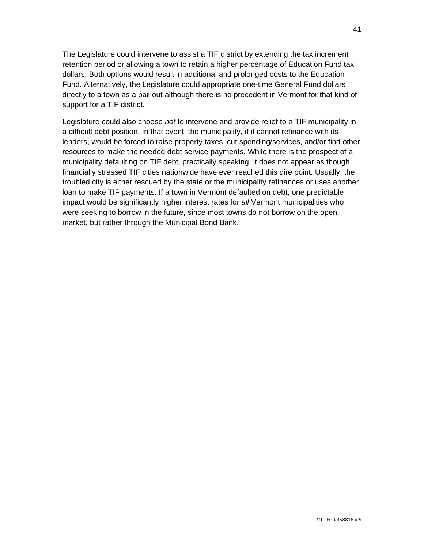The Legislature could intervene to assist a TIF district by extending the tax increment retention period or allowing a town to retain a higher percentage of Education Fund tax dollars. Both options would result in additional and prolonged costs to the Education Fund. Alternatively, the Legislature could appropriate one-time General Fund dollars directly to a town as a bail out although there is no precedent in Vermont for that kind of support for a TIF district.

Legislature could also choose *not* to intervene and provide relief to a TIF municipality in a difficult debt position. In that event, the municipality, if it cannot refinance with its lenders, would be forced to raise property taxes, cut spending/services, and/or find other resources to make the needed debt service payments. While there is the prospect of a municipality defaulting on TIF debt, practically speaking, it does not appear as though financially stressed TIF cities nationwide have ever reached this dire point. Usually, the troubled city is either rescued by the state or the municipality refinances or uses another loan to make TIF payments. If a town in Vermont defaulted on debt, one predictable impact would be significantly higher interest rates for *all* Vermont municipalities who were seeking to borrow in the future, since most towns do not borrow on the open market, but rather through the Municipal Bond Bank.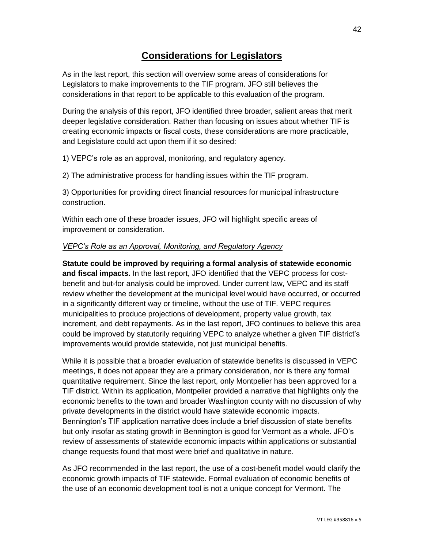# **Considerations for Legislators**

As in the last report, this section will overview some areas of considerations for Legislators to make improvements to the TIF program. JFO still believes the considerations in that report to be applicable to this evaluation of the program.

During the analysis of this report, JFO identified three broader, salient areas that merit deeper legislative consideration. Rather than focusing on issues about whether TIF is creating economic impacts or fiscal costs, these considerations are more practicable, and Legislature could act upon them if it so desired:

1) VEPC's role as an approval, monitoring, and regulatory agency.

2) The administrative process for handling issues within the TIF program.

3) Opportunities for providing direct financial resources for municipal infrastructure construction.

Within each one of these broader issues, JFO will highlight specific areas of improvement or consideration.

#### *VEPC's Role as an Approval, Monitoring, and Regulatory Agency*

**Statute could be improved by requiring a formal analysis of statewide economic and fiscal impacts.** In the last report, JFO identified that the VEPC process for costbenefit and but-for analysis could be improved. Under current law, VEPC and its staff review whether the development at the municipal level would have occurred, or occurred in a significantly different way or timeline, without the use of TIF. VEPC requires municipalities to produce projections of development, property value growth, tax increment, and debt repayments. As in the last report, JFO continues to believe this area could be improved by statutorily requiring VEPC to analyze whether a given TIF district's improvements would provide statewide, not just municipal benefits.

While it is possible that a broader evaluation of statewide benefits is discussed in VEPC meetings, it does not appear they are a primary consideration, nor is there any formal quantitative requirement. Since the last report, only Montpelier has been approved for a TIF district. Within its application, Montpelier provided a narrative that highlights only the economic benefits to the town and broader Washington county with no discussion of why private developments in the district would have statewide economic impacts. Bennington's TIF application narrative does include a brief discussion of state benefits but only insofar as stating growth in Bennington is good for Vermont as a whole. JFO's review of assessments of statewide economic impacts within applications or substantial change requests found that most were brief and qualitative in nature.

As JFO recommended in the last report, the use of a cost-benefit model would clarify the economic growth impacts of TIF statewide. Formal evaluation of economic benefits of the use of an economic development tool is not a unique concept for Vermont. The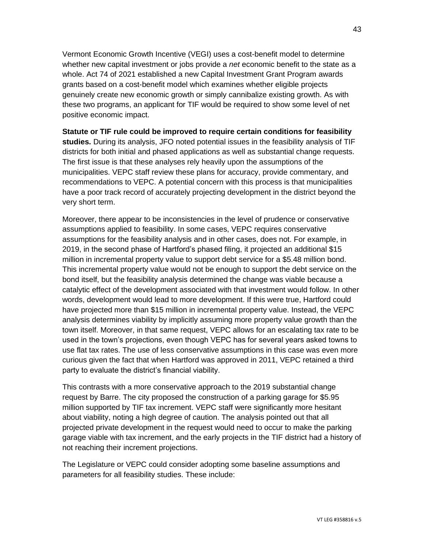Vermont Economic Growth Incentive (VEGI) uses a cost-benefit model to determine whether new capital investment or jobs provide a *net* economic benefit to the state as a whole. Act 74 of 2021 established a new Capital Investment Grant Program awards grants based on a cost-benefit model which examines whether eligible projects genuinely create new economic growth or simply cannibalize existing growth. As with these two programs, an applicant for TIF would be required to show some level of net positive economic impact.

**Statute or TIF rule could be improved to require certain conditions for feasibility studies.** During its analysis, JFO noted potential issues in the feasibility analysis of TIF districts for both initial and phased applications as well as substantial change requests. The first issue is that these analyses rely heavily upon the assumptions of the municipalities. VEPC staff review these plans for accuracy, provide commentary, and recommendations to VEPC. A potential concern with this process is that municipalities have a poor track record of accurately projecting development in the district beyond the very short term.

Moreover, there appear to be inconsistencies in the level of prudence or conservative assumptions applied to feasibility. In some cases, VEPC requires conservative assumptions for the feasibility analysis and in other cases, does not. For example, in 2019, in the second phase of Hartford's phased filing, it projected an additional \$15 million in incremental property value to support debt service for a \$5.48 million bond. This incremental property value would not be enough to support the debt service on the bond itself, but the feasibility analysis determined the change was viable because a catalytic effect of the development associated with that investment would follow. In other words, development would lead to more development. If this were true, Hartford could have projected more than \$15 million in incremental property value. Instead, the VEPC analysis determines viability by implicitly assuming more property value growth than the town itself. Moreover, in that same request, VEPC allows for an escalating tax rate to be used in the town's projections, even though VEPC has for several years asked towns to use flat tax rates. The use of less conservative assumptions in this case was even more curious given the fact that when Hartford was approved in 2011, VEPC retained a third party to evaluate the district's financial viability.

This contrasts with a more conservative approach to the 2019 substantial change request by Barre. The city proposed the construction of a parking garage for \$5.95 million supported by TIF tax increment. VEPC staff were significantly more hesitant about viability, noting a high degree of caution. The analysis pointed out that all projected private development in the request would need to occur to make the parking garage viable with tax increment, and the early projects in the TIF district had a history of not reaching their increment projections.

The Legislature or VEPC could consider adopting some baseline assumptions and parameters for all feasibility studies. These include: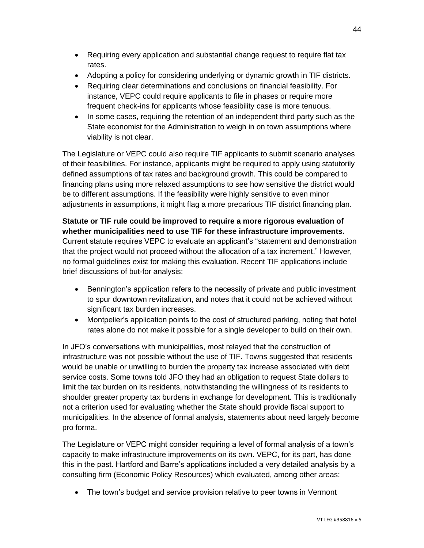- Requiring every application and substantial change request to require flat tax rates.
- Adopting a policy for considering underlying or dynamic growth in TIF districts.
- Requiring clear determinations and conclusions on financial feasibility. For instance, VEPC could require applicants to file in phases or require more frequent check-ins for applicants whose feasibility case is more tenuous.
- In some cases, requiring the retention of an independent third party such as the State economist for the Administration to weigh in on town assumptions where viability is not clear.

The Legislature or VEPC could also require TIF applicants to submit scenario analyses of their feasibilities. For instance, applicants might be required to apply using statutorily defined assumptions of tax rates and background growth. This could be compared to financing plans using more relaxed assumptions to see how sensitive the district would be to different assumptions. If the feasibility were highly sensitive to even minor adjustments in assumptions, it might flag a more precarious TIF district financing plan.

### **Statute or TIF rule could be improved to require a more rigorous evaluation of whether municipalities need to use TIF for these infrastructure improvements.**  Current statute requires VEPC to evaluate an applicant's "statement and demonstration that the project would not proceed without the allocation of a tax increment." However, no formal guidelines exist for making this evaluation. Recent TIF applications include brief discussions of but-for analysis:

- Bennington's application refers to the necessity of private and public investment to spur downtown revitalization, and notes that it could not be achieved without significant tax burden increases.
- Montpelier's application points to the cost of structured parking, noting that hotel rates alone do not make it possible for a single developer to build on their own.

In JFO's conversations with municipalities, most relayed that the construction of infrastructure was not possible without the use of TIF. Towns suggested that residents would be unable or unwilling to burden the property tax increase associated with debt service costs. Some towns told JFO they had an obligation to request State dollars to limit the tax burden on its residents, notwithstanding the willingness of its residents to shoulder greater property tax burdens in exchange for development. This is traditionally not a criterion used for evaluating whether the State should provide fiscal support to municipalities. In the absence of formal analysis, statements about need largely become pro forma.

The Legislature or VEPC might consider requiring a level of formal analysis of a town's capacity to make infrastructure improvements on its own. VEPC, for its part, has done this in the past. Hartford and Barre's applications included a very detailed analysis by a consulting firm (Economic Policy Resources) which evaluated, among other areas:

• The town's budget and service provision relative to peer towns in Vermont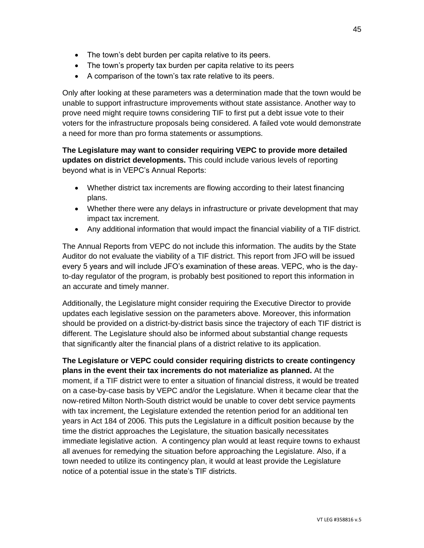- The town's debt burden per capita relative to its peers.
- The town's property tax burden per capita relative to its peers
- A comparison of the town's tax rate relative to its peers.

Only after looking at these parameters was a determination made that the town would be unable to support infrastructure improvements without state assistance. Another way to prove need might require towns considering TIF to first put a debt issue vote to their voters for the infrastructure proposals being considered. A failed vote would demonstrate a need for more than pro forma statements or assumptions.

**The Legislature may want to consider requiring VEPC to provide more detailed updates on district developments.** This could include various levels of reporting beyond what is in VEPC's Annual Reports:

- Whether district tax increments are flowing according to their latest financing plans.
- Whether there were any delays in infrastructure or private development that may impact tax increment.
- Any additional information that would impact the financial viability of a TIF district.

The Annual Reports from VEPC do not include this information. The audits by the State Auditor do not evaluate the viability of a TIF district. This report from JFO will be issued every 5 years and will include JFO's examination of these areas. VEPC, who is the dayto-day regulator of the program, is probably best positioned to report this information in an accurate and timely manner.

Additionally, the Legislature might consider requiring the Executive Director to provide updates each legislative session on the parameters above. Moreover, this information should be provided on a district-by-district basis since the trajectory of each TIF district is different. The Legislature should also be informed about substantial change requests that significantly alter the financial plans of a district relative to its application.

**The Legislature or VEPC could consider requiring districts to create contingency plans in the event their tax increments do not materialize as planned.** At the moment, if a TIF district were to enter a situation of financial distress, it would be treated on a case-by-case basis by VEPC and/or the Legislature. When it became clear that the now-retired Milton North-South district would be unable to cover debt service payments with tax increment, the Legislature extended the retention period for an additional ten years in Act 184 of 2006. This puts the Legislature in a difficult position because by the time the district approaches the Legislature, the situation basically necessitates immediate legislative action. A contingency plan would at least require towns to exhaust all avenues for remedying the situation before approaching the Legislature. Also, if a town needed to utilize its contingency plan, it would at least provide the Legislature notice of a potential issue in the state's TIF districts.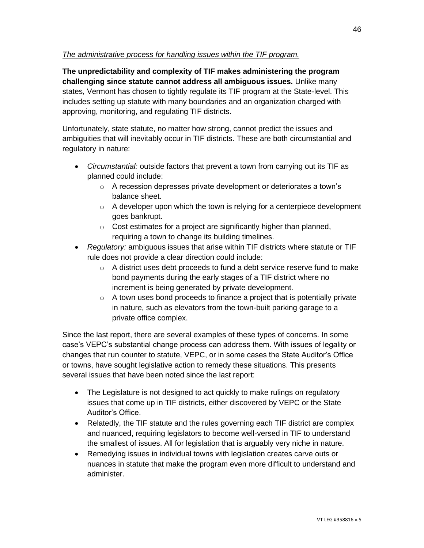#### *The administrative process for handling issues within the TIF program.*

**The unpredictability and complexity of TIF makes administering the program challenging since statute cannot address all ambiguous issues.** Unlike many states, Vermont has chosen to tightly regulate its TIF program at the State-level. This includes setting up statute with many boundaries and an organization charged with approving, monitoring, and regulating TIF districts.

Unfortunately, state statute, no matter how strong, cannot predict the issues and ambiguities that will inevitably occur in TIF districts. These are both circumstantial and regulatory in nature:

- *Circumstantial:* outside factors that prevent a town from carrying out its TIF as planned could include:
	- o A recession depresses private development or deteriorates a town's balance sheet.
	- $\circ$  A developer upon which the town is relying for a centerpiece development goes bankrupt.
	- $\circ$  Cost estimates for a project are significantly higher than planned, requiring a town to change its building timelines.
- *Regulatory:* ambiguous issues that arise within TIF districts where statute or TIF rule does not provide a clear direction could include:
	- $\circ$  A district uses debt proceeds to fund a debt service reserve fund to make bond payments during the early stages of a TIF district where no increment is being generated by private development.
	- $\circ$  A town uses bond proceeds to finance a project that is potentially private in nature, such as elevators from the town-built parking garage to a private office complex.

Since the last report, there are several examples of these types of concerns. In some case's VEPC's substantial change process can address them. With issues of legality or changes that run counter to statute, VEPC, or in some cases the State Auditor's Office or towns, have sought legislative action to remedy these situations. This presents several issues that have been noted since the last report:

- The Legislature is not designed to act quickly to make rulings on regulatory issues that come up in TIF districts, either discovered by VEPC or the State Auditor's Office.
- Relatedly, the TIF statute and the rules governing each TIF district are complex and nuanced, requiring legislators to become well-versed in TIF to understand the smallest of issues. All for legislation that is arguably very niche in nature.
- Remedying issues in individual towns with legislation creates carve outs or nuances in statute that make the program even more difficult to understand and administer.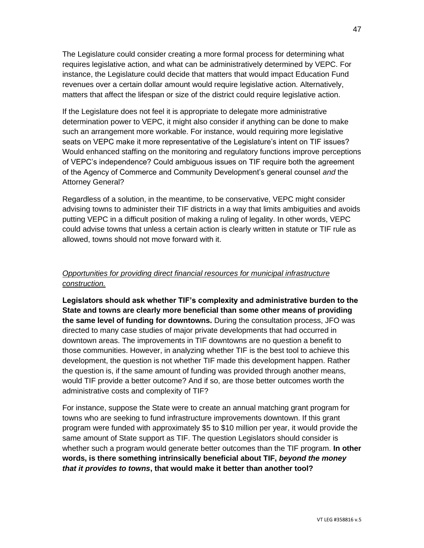The Legislature could consider creating a more formal process for determining what requires legislative action, and what can be administratively determined by VEPC. For instance, the Legislature could decide that matters that would impact Education Fund revenues over a certain dollar amount would require legislative action. Alternatively, matters that affect the lifespan or size of the district could require legislative action.

If the Legislature does not feel it is appropriate to delegate more administrative determination power to VEPC, it might also consider if anything can be done to make such an arrangement more workable. For instance, would requiring more legislative seats on VEPC make it more representative of the Legislature's intent on TIF issues? Would enhanced staffing on the monitoring and regulatory functions improve perceptions of VEPC's independence? Could ambiguous issues on TIF require both the agreement of the Agency of Commerce and Community Development's general counsel *and* the Attorney General?

Regardless of a solution, in the meantime, to be conservative, VEPC might consider advising towns to administer their TIF districts in a way that limits ambiguities and avoids putting VEPC in a difficult position of making a ruling of legality. In other words, VEPC could advise towns that unless a certain action is clearly written in statute or TIF rule as allowed, towns should not move forward with it.

#### *Opportunities for providing direct financial resources for municipal infrastructure construction.*

**Legislators should ask whether TIF's complexity and administrative burden to the State and towns are clearly more beneficial than some other means of providing the same level of funding for downtowns.** During the consultation process, JFO was directed to many case studies of major private developments that had occurred in downtown areas. The improvements in TIF downtowns are no question a benefit to those communities. However, in analyzing whether TIF is the best tool to achieve this development, the question is not whether TIF made this development happen. Rather the question is, if the same amount of funding was provided through another means, would TIF provide a better outcome? And if so, are those better outcomes worth the administrative costs and complexity of TIF?

For instance, suppose the State were to create an annual matching grant program for towns who are seeking to fund infrastructure improvements downtown. If this grant program were funded with approximately \$5 to \$10 million per year, it would provide the same amount of State support as TIF. The question Legislators should consider is whether such a program would generate better outcomes than the TIF program. **In other words, is there something intrinsically beneficial about TIF,** *beyond the money that it provides to towns***, that would make it better than another tool?**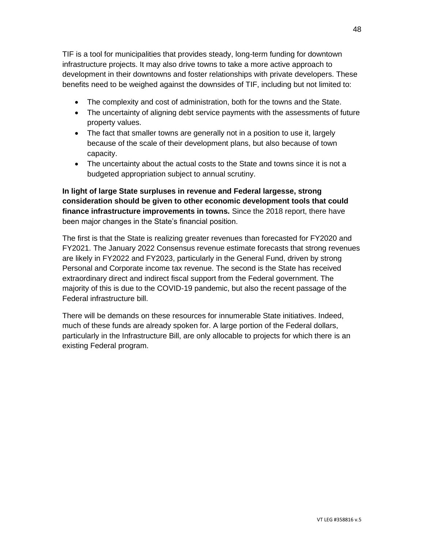TIF is a tool for municipalities that provides steady, long-term funding for downtown infrastructure projects. It may also drive towns to take a more active approach to development in their downtowns and foster relationships with private developers. These benefits need to be weighed against the downsides of TIF, including but not limited to:

- The complexity and cost of administration, both for the towns and the State.
- The uncertainty of aligning debt service payments with the assessments of future property values.
- The fact that smaller towns are generally not in a position to use it, largely because of the scale of their development plans, but also because of town capacity.
- The uncertainty about the actual costs to the State and towns since it is not a budgeted appropriation subject to annual scrutiny.

**In light of large State surpluses in revenue and Federal largesse, strong consideration should be given to other economic development tools that could finance infrastructure improvements in towns.** Since the 2018 report, there have been major changes in the State's financial position.

The first is that the State is realizing greater revenues than forecasted for FY2020 and FY2021. The January 2022 Consensus revenue estimate forecasts that strong revenues are likely in FY2022 and FY2023, particularly in the General Fund, driven by strong Personal and Corporate income tax revenue. The second is the State has received extraordinary direct and indirect fiscal support from the Federal government. The majority of this is due to the COVID-19 pandemic, but also the recent passage of the Federal infrastructure bill.

There will be demands on these resources for innumerable State initiatives. Indeed, much of these funds are already spoken for. A large portion of the Federal dollars, particularly in the Infrastructure Bill, are only allocable to projects for which there is an existing Federal program.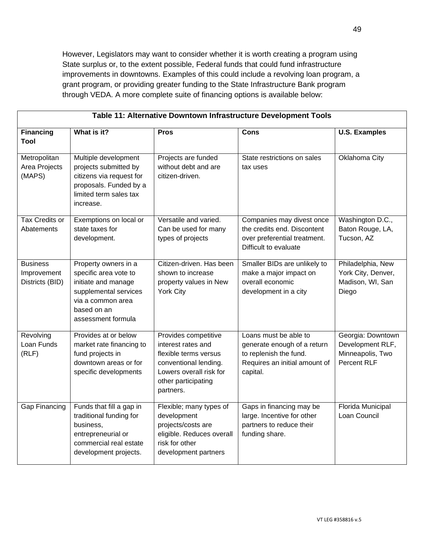However, Legislators may want to consider whether it is worth creating a program using State surplus or, to the extent possible, Federal funds that could fund infrastructure improvements in downtowns. Examples of this could include a revolving loan program, a grant program, or providing greater funding to the State Infrastructure Bank program through VEDA. A more complete suite of financing options is available below:

| Table 11: Alternative Downtown Infrastructure Development Tools |                                                                                                                                                         |                                                                                                                                                             |                                                                                                                             |                                                                          |  |  |
|-----------------------------------------------------------------|---------------------------------------------------------------------------------------------------------------------------------------------------------|-------------------------------------------------------------------------------------------------------------------------------------------------------------|-----------------------------------------------------------------------------------------------------------------------------|--------------------------------------------------------------------------|--|--|
| <b>Financing</b><br>Tool                                        | What is it?                                                                                                                                             | <b>Pros</b>                                                                                                                                                 | <b>Cons</b>                                                                                                                 | <b>U.S. Examples</b>                                                     |  |  |
| Metropolitan<br>Area Projects<br>(MAPS)                         | Multiple development<br>projects submitted by<br>citizens via request for<br>proposals. Funded by a<br>limited term sales tax<br>increase.              | Projects are funded<br>without debt and are<br>citizen-driven.                                                                                              | State restrictions on sales<br>tax uses                                                                                     | Oklahoma City                                                            |  |  |
| <b>Tax Credits or</b><br>Abatements                             | Exemptions on local or<br>state taxes for<br>development.                                                                                               | Versatile and varied.<br>Can be used for many<br>types of projects                                                                                          | Companies may divest once<br>the credits end. Discontent<br>over preferential treatment.<br>Difficult to evaluate           | Washington D.C.,<br>Baton Rouge, LA,<br>Tucson, AZ                       |  |  |
| <b>Business</b><br>Improvement<br>Districts (BID)               | Property owners in a<br>specific area vote to<br>initiate and manage<br>supplemental services<br>via a common area<br>based on an<br>assessment formula | Citizen-driven. Has been<br>shown to increase<br>property values in New<br><b>York City</b>                                                                 | Smaller BIDs are unlikely to<br>make a major impact on<br>overall economic<br>development in a city                         | Philadelphia, New<br>York City, Denver,<br>Madison, WI, San<br>Diego     |  |  |
| Revolving<br>Loan Funds<br>(RLF)                                | Provides at or below<br>market rate financing to<br>fund projects in<br>downtown areas or for<br>specific developments                                  | Provides competitive<br>interest rates and<br>flexible terms versus<br>conventional lending.<br>Lowers overall risk for<br>other participating<br>partners. | Loans must be able to<br>generate enough of a return<br>to replenish the fund.<br>Requires an initial amount of<br>capital. | Georgia: Downtown<br>Development RLF,<br>Minneapolis, Two<br>Percent RLF |  |  |
| <b>Gap Financing</b>                                            | Funds that fill a gap in<br>traditional funding for<br>business,<br>entrepreneurial or<br>commercial real estate<br>development projects.               | Flexible; many types of<br>development<br>projects/costs are<br>eligible. Reduces overall<br>risk for other<br>development partners                         | Gaps in financing may be<br>large. Incentive for other<br>partners to reduce their<br>funding share.                        | Florida Municipal<br>Loan Council                                        |  |  |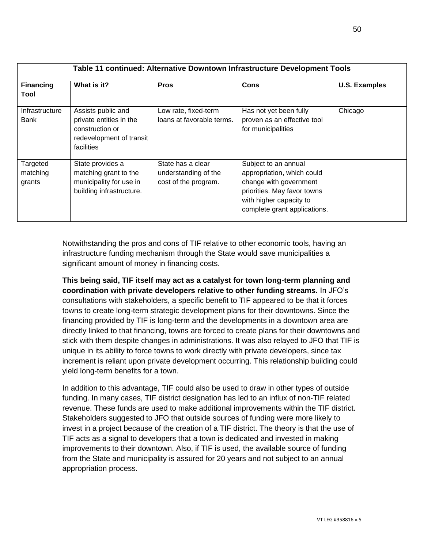| Table 11 continued: Alternative Downtown Infrastructure Development Tools |                                                                                                            |                                                                   |                                                                                                                                                                        |                      |  |  |
|---------------------------------------------------------------------------|------------------------------------------------------------------------------------------------------------|-------------------------------------------------------------------|------------------------------------------------------------------------------------------------------------------------------------------------------------------------|----------------------|--|--|
| <b>Financing</b><br>Tool                                                  | What is it?                                                                                                | <b>Pros</b>                                                       | Cons                                                                                                                                                                   | <b>U.S. Examples</b> |  |  |
| Infrastructure<br>Bank                                                    | Assists public and<br>private entities in the<br>construction or<br>redevelopment of transit<br>facilities | Low rate, fixed-term<br>loans at favorable terms.                 | Has not yet been fully<br>proven as an effective tool<br>for municipalities                                                                                            | Chicago              |  |  |
| Targeted<br>matching<br>grants                                            | State provides a<br>matching grant to the<br>municipality for use in<br>building infrastructure.           | State has a clear<br>understanding of the<br>cost of the program. | Subject to an annual<br>appropriation, which could<br>change with government<br>priorities. May favor towns<br>with higher capacity to<br>complete grant applications. |                      |  |  |

Notwithstanding the pros and cons of TIF relative to other economic tools, having an infrastructure funding mechanism through the State would save municipalities a significant amount of money in financing costs.

**This being said, TIF itself may act as a catalyst for town long-term planning and coordination with private developers relative to other funding streams.** In JFO's consultations with stakeholders, a specific benefit to TIF appeared to be that it forces towns to create long-term strategic development plans for their downtowns. Since the financing provided by TIF is long-term and the developments in a downtown area are directly linked to that financing, towns are forced to create plans for their downtowns and stick with them despite changes in administrations. It was also relayed to JFO that TIF is unique in its ability to force towns to work directly with private developers, since tax increment is reliant upon private development occurring. This relationship building could yield long-term benefits for a town.

In addition to this advantage, TIF could also be used to draw in other types of outside funding. In many cases, TIF district designation has led to an influx of non-TIF related revenue. These funds are used to make additional improvements within the TIF district. Stakeholders suggested to JFO that outside sources of funding were more likely to invest in a project because of the creation of a TIF district. The theory is that the use of TIF acts as a signal to developers that a town is dedicated and invested in making improvements to their downtown. Also, if TIF is used, the available source of funding from the State and municipality is assured for 20 years and not subject to an annual appropriation process.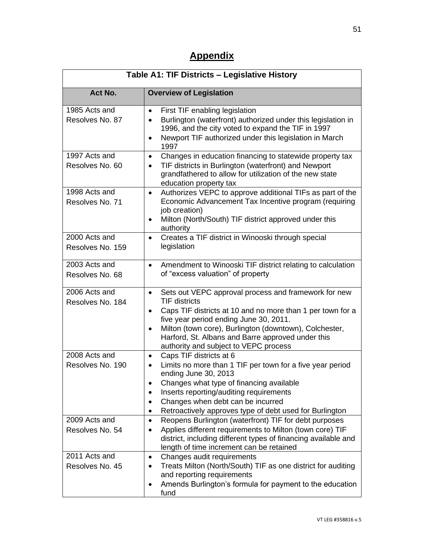# **Appendix**

| Table A1: TIF Districts - Legislative History |                                                                                                                                                                                                                                                                                                                                                                                     |  |  |  |
|-----------------------------------------------|-------------------------------------------------------------------------------------------------------------------------------------------------------------------------------------------------------------------------------------------------------------------------------------------------------------------------------------------------------------------------------------|--|--|--|
| Act No.                                       | <b>Overview of Legislation</b>                                                                                                                                                                                                                                                                                                                                                      |  |  |  |
| 1985 Acts and<br>Resolves No. 87              | First TIF enabling legislation<br>$\bullet$<br>Burlington (waterfront) authorized under this legislation in<br>$\bullet$<br>1996, and the city voted to expand the TIF in 1997<br>Newport TIF authorized under this legislation in March<br>$\bullet$<br>1997                                                                                                                       |  |  |  |
| 1997 Acts and<br>Resolves No. 60              | Changes in education financing to statewide property tax<br>$\bullet$<br>TIF districts in Burlington (waterfront) and Newport<br>$\bullet$<br>grandfathered to allow for utilization of the new state<br>education property tax                                                                                                                                                     |  |  |  |
| 1998 Acts and<br>Resolves No. 71              | Authorizes VEPC to approve additional TIFs as part of the<br>$\bullet$<br>Economic Advancement Tax Incentive program (requiring<br>job creation)<br>Milton (North/South) TIF district approved under this<br>٠<br>authority                                                                                                                                                         |  |  |  |
| 2000 Acts and<br>Resolves No. 159             | Creates a TIF district in Winooski through special<br>$\bullet$<br>legislation                                                                                                                                                                                                                                                                                                      |  |  |  |
| 2003 Acts and<br>Resolves No. 68              | Amendment to Winooski TIF district relating to calculation<br>$\bullet$<br>of "excess valuation" of property                                                                                                                                                                                                                                                                        |  |  |  |
| 2006 Acts and<br>Resolves No. 184             | Sets out VEPC approval process and framework for new<br>$\bullet$<br><b>TIF districts</b><br>Caps TIF districts at 10 and no more than 1 per town for a<br>$\bullet$<br>five year period ending June 30, 2011.<br>Milton (town core), Burlington (downtown), Colchester,<br>$\bullet$<br>Harford, St. Albans and Barre approved under this<br>authority and subject to VEPC process |  |  |  |
| 2008 Acts and<br>Resolves No. 190             | Caps TIF districts at 6<br>٠<br>Limits no more than 1 TIF per town for a five year period<br>$\bullet$<br>ending June 30, 2013<br>Changes what type of financing available<br>Inserts reporting/auditing requirements<br>Changes when debt can be incurred<br>$\bullet$<br>Retroactively approves type of debt used for Burlington<br>٠                                             |  |  |  |
| 2009 Acts and<br>Resolves No. 54              | Reopens Burlington (waterfront) TIF for debt purposes<br>$\bullet$<br>Applies different requirements to Milton (town core) TIF<br>$\bullet$<br>district, including different types of financing available and<br>length of time increment can be retained                                                                                                                           |  |  |  |
| 2011 Acts and<br>Resolves No. 45              | Changes audit requirements<br>$\bullet$<br>Treats Milton (North/South) TIF as one district for auditing<br>$\bullet$<br>and reporting requirements<br>Amends Burlington's formula for payment to the education<br>fund                                                                                                                                                              |  |  |  |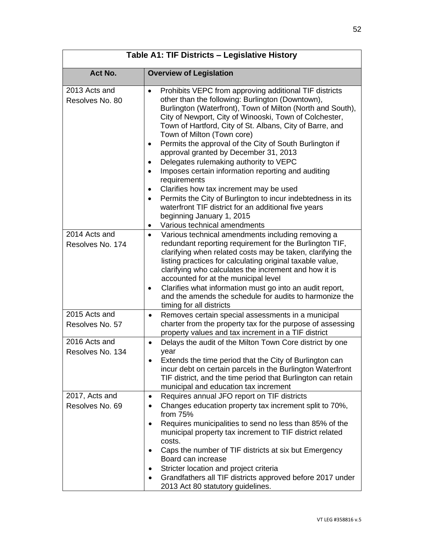| Table A1: TIF Districts - Legislative History |                                                                                                                                                                                                                                                                                                                                                                                                                                                                                                                                                                                                                                                                                                                                                                                                                                                                    |  |  |  |
|-----------------------------------------------|--------------------------------------------------------------------------------------------------------------------------------------------------------------------------------------------------------------------------------------------------------------------------------------------------------------------------------------------------------------------------------------------------------------------------------------------------------------------------------------------------------------------------------------------------------------------------------------------------------------------------------------------------------------------------------------------------------------------------------------------------------------------------------------------------------------------------------------------------------------------|--|--|--|
| Act No.                                       | <b>Overview of Legislation</b>                                                                                                                                                                                                                                                                                                                                                                                                                                                                                                                                                                                                                                                                                                                                                                                                                                     |  |  |  |
| 2013 Acts and<br>Resolves No. 80              | Prohibits VEPC from approving additional TIF districts<br>$\bullet$<br>other than the following: Burlington (Downtown),<br>Burlington (Waterfront), Town of Milton (North and South),<br>City of Newport, City of Winooski, Town of Colchester,<br>Town of Hartford, City of St. Albans, City of Barre, and<br>Town of Milton (Town core)<br>Permits the approval of the City of South Burlington if<br>٠<br>approval granted by December 31, 2013<br>Delegates rulemaking authority to VEPC<br>$\bullet$<br>Imposes certain information reporting and auditing<br>$\bullet$<br>requirements<br>Clarifies how tax increment may be used<br>$\bullet$<br>Permits the City of Burlington to incur indebtedness in its<br>$\bullet$<br>waterfront TIF district for an additional five years<br>beginning January 1, 2015<br>Various technical amendments<br>$\bullet$ |  |  |  |
| 2014 Acts and<br>Resolves No. 174             | Various technical amendments including removing a<br>$\bullet$<br>redundant reporting requirement for the Burlington TIF,<br>clarifying when related costs may be taken, clarifying the<br>listing practices for calculating original taxable value,<br>clarifying who calculates the increment and how it is<br>accounted for at the municipal level<br>Clarifies what information must go into an audit report,<br>٠<br>and the amends the schedule for audits to harmonize the<br>timing for all districts                                                                                                                                                                                                                                                                                                                                                      |  |  |  |
| 2015 Acts and<br>Resolves No. 57              | Removes certain special assessments in a municipal<br>$\bullet$<br>charter from the property tax for the purpose of assessing<br>property values and tax increment in a TIF district                                                                                                                                                                                                                                                                                                                                                                                                                                                                                                                                                                                                                                                                               |  |  |  |
| 2016 Acts and<br>Resolves No. 134             | Delays the audit of the Milton Town Core district by one<br>$\bullet$<br>year<br>Extends the time period that the City of Burlington can<br>incur debt on certain parcels in the Burlington Waterfront<br>TIF district, and the time period that Burlington can retain<br>municipal and education tax increment                                                                                                                                                                                                                                                                                                                                                                                                                                                                                                                                                    |  |  |  |
| 2017, Acts and<br>Resolves No. 69             | Requires annual JFO report on TIF districts<br>$\bullet$<br>Changes education property tax increment split to 70%,<br>from 75%<br>Requires municipalities to send no less than 85% of the<br>$\bullet$<br>municipal property tax increment to TIF district related<br>costs.<br>Caps the number of TIF districts at six but Emergency<br>Board can increase<br>Stricter location and project criteria<br>Grandfathers all TIF districts approved before 2017 under<br>2013 Act 80 statutory guidelines.                                                                                                                                                                                                                                                                                                                                                            |  |  |  |